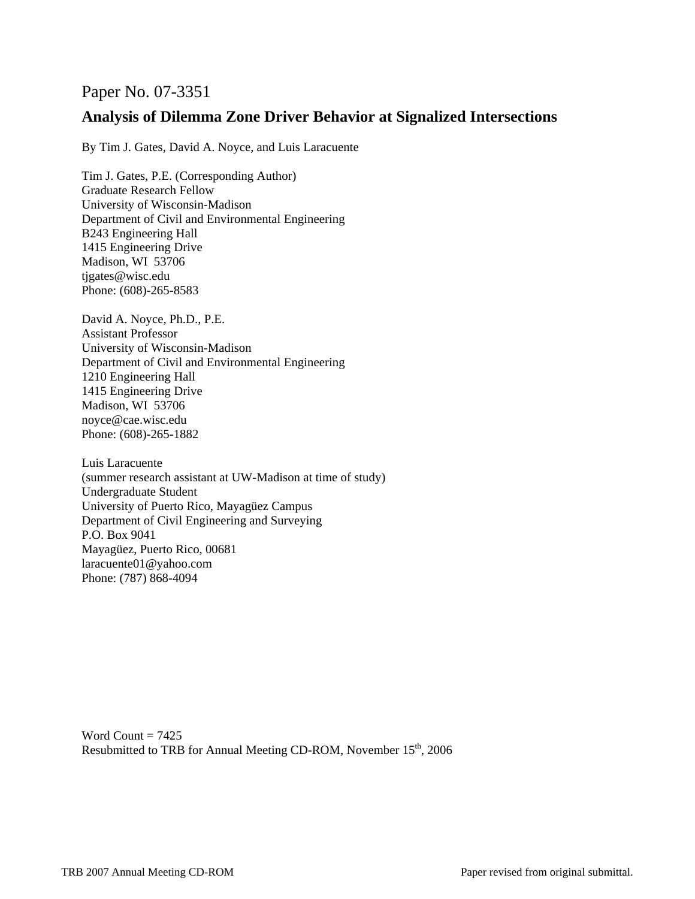# Paper No. 07-3351

# **Analysis of Dilemma Zone Driver Behavior at Signalized Intersections**

By Tim J. Gates, David A. Noyce, and Luis Laracuente

Tim J. Gates, P.E. (Corresponding Author) Graduate Research Fellow University of Wisconsin-Madison Department of Civil and Environmental Engineering B243 Engineering Hall 1415 Engineering Drive Madison, WI 53706 tjgates@wisc.edu Phone: (608)-265-8583

David A. Noyce, Ph.D., P.E. Assistant Professor University of Wisconsin-Madison Department of Civil and Environmental Engineering 1210 Engineering Hall 1415 Engineering Drive Madison, WI 53706 noyce@cae.wisc.edu Phone: (608)-265-1882

Luis Laracuente (summer research assistant at UW-Madison at time of study) Undergraduate Student University of Puerto Rico, Mayagüez Campus Department of Civil Engineering and Surveying P.O. Box 9041 Mayagüez, Puerto Rico, 00681 laracuente01@yahoo.com Phone: (787) 868-4094

Word Count  $= 7425$ Resubmitted to TRB for Annual Meeting CD-ROM, November 15<sup>th</sup>, 2006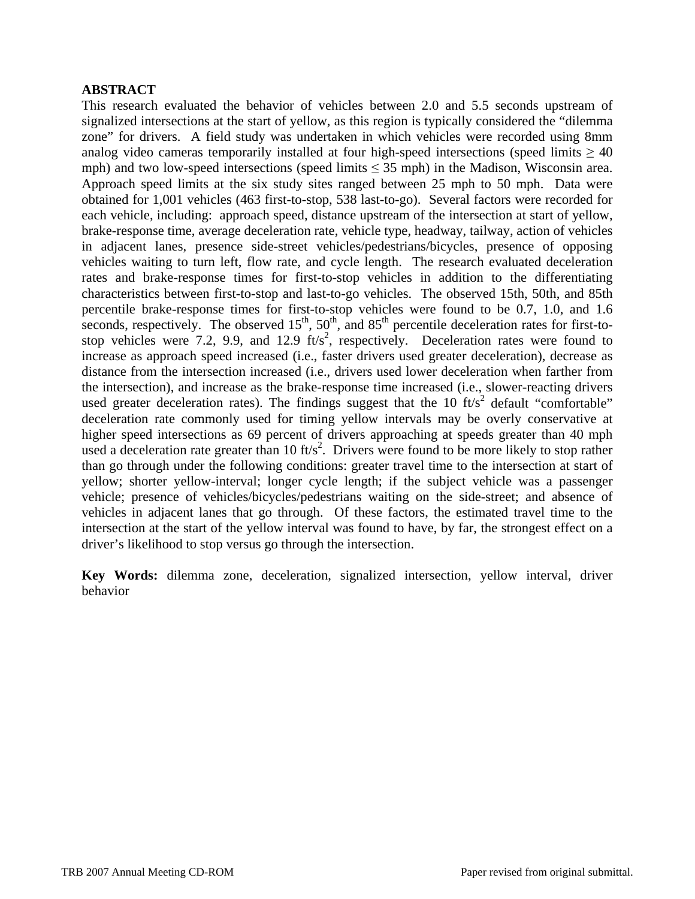## **ABSTRACT**

This research evaluated the behavior of vehicles between 2.0 and 5.5 seconds upstream of signalized intersections at the start of yellow, as this region is typically considered the "dilemma zone" for drivers. A field study was undertaken in which vehicles were recorded using 8mm analog video cameras temporarily installed at four high-speed intersections (speed limits  $\geq 40$ ) mph) and two low-speed intersections (speed limits  $\leq$  35 mph) in the Madison, Wisconsin area. Approach speed limits at the six study sites ranged between 25 mph to 50 mph. Data were obtained for 1,001 vehicles (463 first-to-stop, 538 last-to-go). Several factors were recorded for each vehicle, including: approach speed, distance upstream of the intersection at start of yellow, brake-response time, average deceleration rate, vehicle type, headway, tailway, action of vehicles in adjacent lanes, presence side-street vehicles/pedestrians/bicycles, presence of opposing vehicles waiting to turn left, flow rate, and cycle length. The research evaluated deceleration rates and brake-response times for first-to-stop vehicles in addition to the differentiating characteristics between first-to-stop and last-to-go vehicles. The observed 15th, 50th, and 85th percentile brake-response times for first-to-stop vehicles were found to be 0.7, 1.0, and 1.6 seconds, respectively. The observed  $15<sup>th</sup>$ ,  $50<sup>th</sup>$ , and  $85<sup>th</sup>$  percentile deceleration rates for first-tostop vehicles were 7.2, 9.9, and 12.9  $ft/s^2$ , respectively. Deceleration rates were found to increase as approach speed increased (i.e., faster drivers used greater deceleration), decrease as distance from the intersection increased (i.e., drivers used lower deceleration when farther from the intersection), and increase as the brake-response time increased (i.e., slower-reacting drivers used greater deceleration rates). The findings suggest that the 10  $\text{ft/s}^2$  default "comfortable" deceleration rate commonly used for timing yellow intervals may be overly conservative at higher speed intersections as 69 percent of drivers approaching at speeds greater than 40 mph used a deceleration rate greater than 10  $\text{ft/s}^2$ . Drivers were found to be more likely to stop rather than go through under the following conditions: greater travel time to the intersection at start of yellow; shorter yellow-interval; longer cycle length; if the subject vehicle was a passenger vehicle; presence of vehicles/bicycles/pedestrians waiting on the side-street; and absence of vehicles in adjacent lanes that go through. Of these factors, the estimated travel time to the intersection at the start of the yellow interval was found to have, by far, the strongest effect on a driver's likelihood to stop versus go through the intersection.

**Key Words:** dilemma zone, deceleration, signalized intersection, yellow interval, driver behavior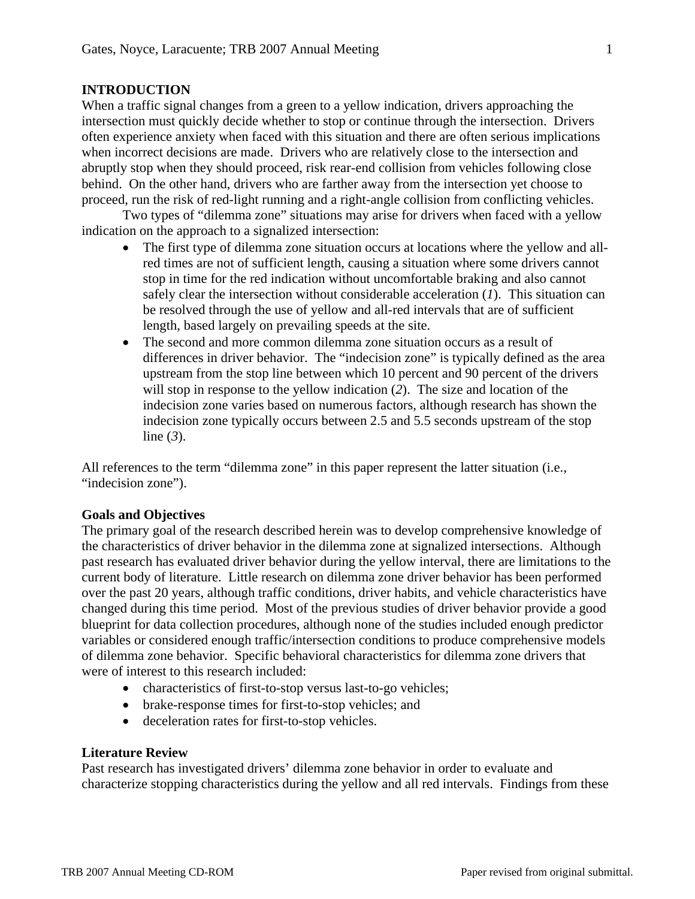### **INTRODUCTION**

When a traffic signal changes from a green to a yellow indication, drivers approaching the intersection must quickly decide whether to stop or continue through the intersection. Drivers often experience anxiety when faced with this situation and there are often serious implications when incorrect decisions are made. Drivers who are relatively close to the intersection and abruptly stop when they should proceed, risk rear-end collision from vehicles following close behind. On the other hand, drivers who are farther away from the intersection yet choose to proceed, run the risk of red-light running and a right-angle collision from conflicting vehicles.

Two types of "dilemma zone" situations may arise for drivers when faced with a yellow indication on the approach to a signalized intersection:

- The first type of dilemma zone situation occurs at locations where the yellow and allred times are not of sufficient length, causing a situation where some drivers cannot stop in time for the red indication without uncomfortable braking and also cannot safely clear the intersection without considerable acceleration (*1*). This situation can be resolved through the use of yellow and all-red intervals that are of sufficient length, based largely on prevailing speeds at the site.
- The second and more common dilemma zone situation occurs as a result of differences in driver behavior. The "indecision zone" is typically defined as the area upstream from the stop line between which 10 percent and 90 percent of the drivers will stop in response to the yellow indication (*2*). The size and location of the indecision zone varies based on numerous factors, although research has shown the indecision zone typically occurs between 2.5 and 5.5 seconds upstream of the stop line (*3*).

All references to the term "dilemma zone" in this paper represent the latter situation (i.e., "indecision zone").

### **Goals and Objectives**

The primary goal of the research described herein was to develop comprehensive knowledge of the characteristics of driver behavior in the dilemma zone at signalized intersections. Although past research has evaluated driver behavior during the yellow interval, there are limitations to the current body of literature. Little research on dilemma zone driver behavior has been performed over the past 20 years, although traffic conditions, driver habits, and vehicle characteristics have changed during this time period. Most of the previous studies of driver behavior provide a good blueprint for data collection procedures, although none of the studies included enough predictor variables or considered enough traffic/intersection conditions to produce comprehensive models of dilemma zone behavior. Specific behavioral characteristics for dilemma zone drivers that were of interest to this research included:

- characteristics of first-to-stop versus last-to-go vehicles;
- brake-response times for first-to-stop vehicles; and
- deceleration rates for first-to-stop vehicles.

#### **Literature Review**

Past research has investigated drivers' dilemma zone behavior in order to evaluate and characterize stopping characteristics during the yellow and all red intervals. Findings from these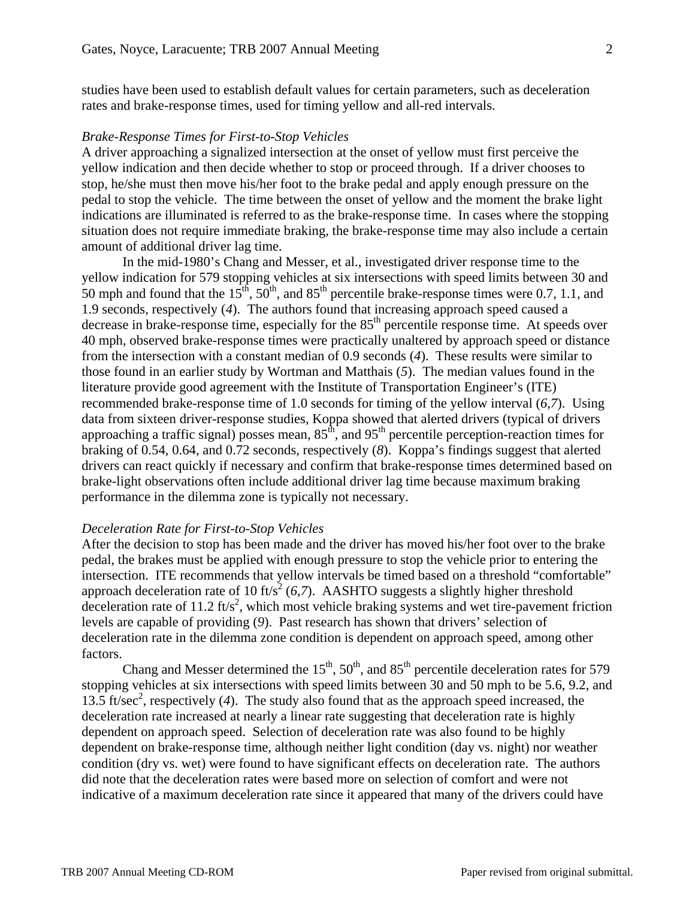studies have been used to establish default values for certain parameters, such as deceleration rates and brake-response times, used for timing yellow and all-red intervals.

#### *Brake-Response Times for First-to-Stop Vehicles*

A driver approaching a signalized intersection at the onset of yellow must first perceive the yellow indication and then decide whether to stop or proceed through. If a driver chooses to stop, he/she must then move his/her foot to the brake pedal and apply enough pressure on the pedal to stop the vehicle. The time between the onset of yellow and the moment the brake light indications are illuminated is referred to as the brake-response time. In cases where the stopping situation does not require immediate braking, the brake-response time may also include a certain amount of additional driver lag time.

In the mid-1980's Chang and Messer, et al., investigated driver response time to the yellow indication for 579 stopping vehicles at six intersections with speed limits between 30 and 50 mph and found that the  $15^{th}$ ,  $50^{th}$ , and  $85^{th}$  percentile brake-response times were 0.7, 1.1, and 1.9 seconds, respectively (*4*). The authors found that increasing approach speed caused a decrease in brake-response time, especially for the  $85<sup>th</sup>$  percentile response time. At speeds over 40 mph, observed brake-response times were practically unaltered by approach speed or distance from the intersection with a constant median of 0.9 seconds (*4*). These results were similar to those found in an earlier study by Wortman and Matthais (*5*). The median values found in the literature provide good agreement with the Institute of Transportation Engineer's (ITE) recommended brake-response time of 1.0 seconds for timing of the yellow interval (*6,7*). Using data from sixteen driver-response studies, Koppa showed that alerted drivers (typical of drivers approaching a traffic signal) posses mean,  $85<sup>th</sup>$ , and  $95<sup>th</sup>$  percentile perception-reaction times for braking of 0.54, 0.64, and 0.72 seconds, respectively (*8*). Koppa's findings suggest that alerted drivers can react quickly if necessary and confirm that brake-response times determined based on brake-light observations often include additional driver lag time because maximum braking performance in the dilemma zone is typically not necessary.

#### *Deceleration Rate for First-to-Stop Vehicles*

After the decision to stop has been made and the driver has moved his/her foot over to the brake pedal, the brakes must be applied with enough pressure to stop the vehicle prior to entering the intersection. ITE recommends that yellow intervals be timed based on a threshold "comfortable" approach deceleration rate of 10 ft/s<sup>2</sup> (6,7). AASHTO suggests a slightly higher threshold deceleration rate of 11.2  $\text{ft/s}^2$ , which most vehicle braking systems and wet tire-pavement friction levels are capable of providing (*9*). Past research has shown that drivers' selection of deceleration rate in the dilemma zone condition is dependent on approach speed, among other factors.

Chang and Messer determined the  $15^{th}$ ,  $50^{th}$ , and  $85^{th}$  percentile deceleration rates for 579 stopping vehicles at six intersections with speed limits between 30 and 50 mph to be 5.6, 9.2, and 13.5 ft/sec<sup>2</sup>, respectively (4). The study also found that as the approach speed increased, the deceleration rate increased at nearly a linear rate suggesting that deceleration rate is highly dependent on approach speed. Selection of deceleration rate was also found to be highly dependent on brake-response time, although neither light condition (day vs. night) nor weather condition (dry vs. wet) were found to have significant effects on deceleration rate. The authors did note that the deceleration rates were based more on selection of comfort and were not indicative of a maximum deceleration rate since it appeared that many of the drivers could have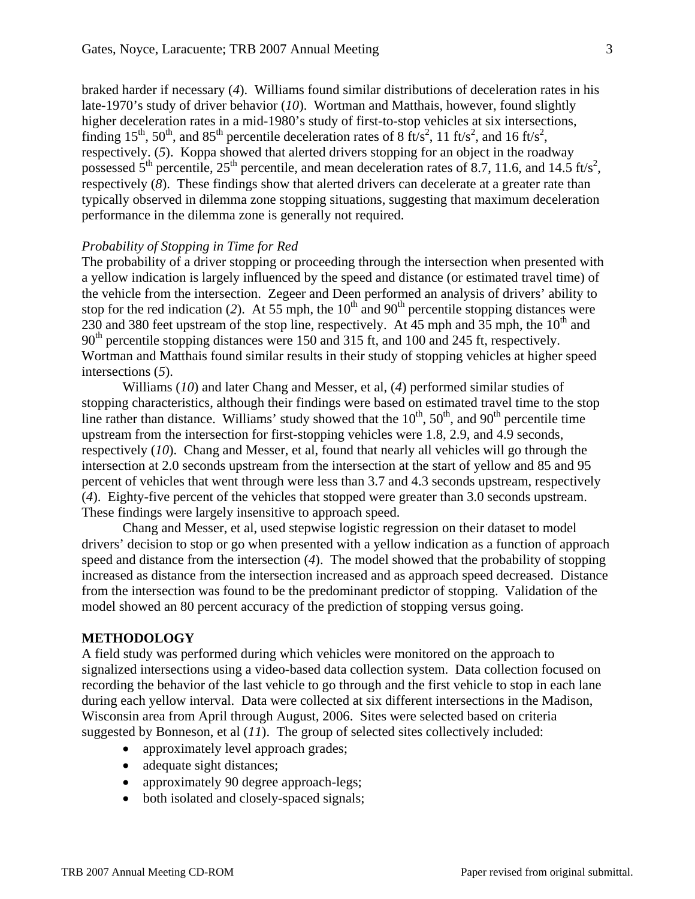braked harder if necessary (*4*). Williams found similar distributions of deceleration rates in his late-1970's study of driver behavior (*10*). Wortman and Matthais, however, found slightly higher deceleration rates in a mid-1980's study of first-to-stop vehicles at six intersections, finding 15<sup>th</sup>, 50<sup>th</sup>, and 85<sup>th</sup> percentile deceleration rates of 8 ft/s<sup>2</sup>, 11 ft/s<sup>2</sup>, and 16 ft/s<sup>2</sup>, respectively. (*5*). Koppa showed that alerted drivers stopping for an object in the roadway possessed  $5<sup>th</sup>$  percentile,  $25<sup>th</sup>$  percentile, and mean deceleration rates of 8.7, 11.6, and 14.5 ft/s<sup>2</sup>, respectively (*8*). These findings show that alerted drivers can decelerate at a greater rate than typically observed in dilemma zone stopping situations, suggesting that maximum deceleration performance in the dilemma zone is generally not required.

### *Probability of Stopping in Time for Red*

The probability of a driver stopping or proceeding through the intersection when presented with a yellow indication is largely influenced by the speed and distance (or estimated travel time) of the vehicle from the intersection. Zegeer and Deen performed an analysis of drivers' ability to stop for the red indication (2). At 55 mph, the  $10<sup>th</sup>$  and 90<sup>th</sup> percentile stopping distances were 230 and 380 feet upstream of the stop line, respectively. At 45 mph and 35 mph, the  $10<sup>th</sup>$  and 90<sup>th</sup> percentile stopping distances were 150 and 315 ft, and 100 and 245 ft, respectively. Wortman and Matthais found similar results in their study of stopping vehicles at higher speed intersections (*5*).

Williams (*10*) and later Chang and Messer, et al, (*4*) performed similar studies of stopping characteristics, although their findings were based on estimated travel time to the stop line rather than distance. Williams' study showed that the  $10^{th}$ ,  $50^{th}$ , and  $90^{th}$  percentile time upstream from the intersection for first-stopping vehicles were 1.8, 2.9, and 4.9 seconds, respectively (*10*). Chang and Messer, et al, found that nearly all vehicles will go through the intersection at 2.0 seconds upstream from the intersection at the start of yellow and 85 and 95 percent of vehicles that went through were less than 3.7 and 4.3 seconds upstream, respectively (*4*). Eighty-five percent of the vehicles that stopped were greater than 3.0 seconds upstream. These findings were largely insensitive to approach speed.

 Chang and Messer, et al, used stepwise logistic regression on their dataset to model drivers' decision to stop or go when presented with a yellow indication as a function of approach speed and distance from the intersection (*4*). The model showed that the probability of stopping increased as distance from the intersection increased and as approach speed decreased. Distance from the intersection was found to be the predominant predictor of stopping. Validation of the model showed an 80 percent accuracy of the prediction of stopping versus going.

## **METHODOLOGY**

A field study was performed during which vehicles were monitored on the approach to signalized intersections using a video-based data collection system. Data collection focused on recording the behavior of the last vehicle to go through and the first vehicle to stop in each lane during each yellow interval. Data were collected at six different intersections in the Madison, Wisconsin area from April through August, 2006. Sites were selected based on criteria suggested by Bonneson, et al (*11*). The group of selected sites collectively included:

- approximately level approach grades;
- adequate sight distances;
- approximately 90 degree approach-legs;
- both isolated and closely-spaced signals;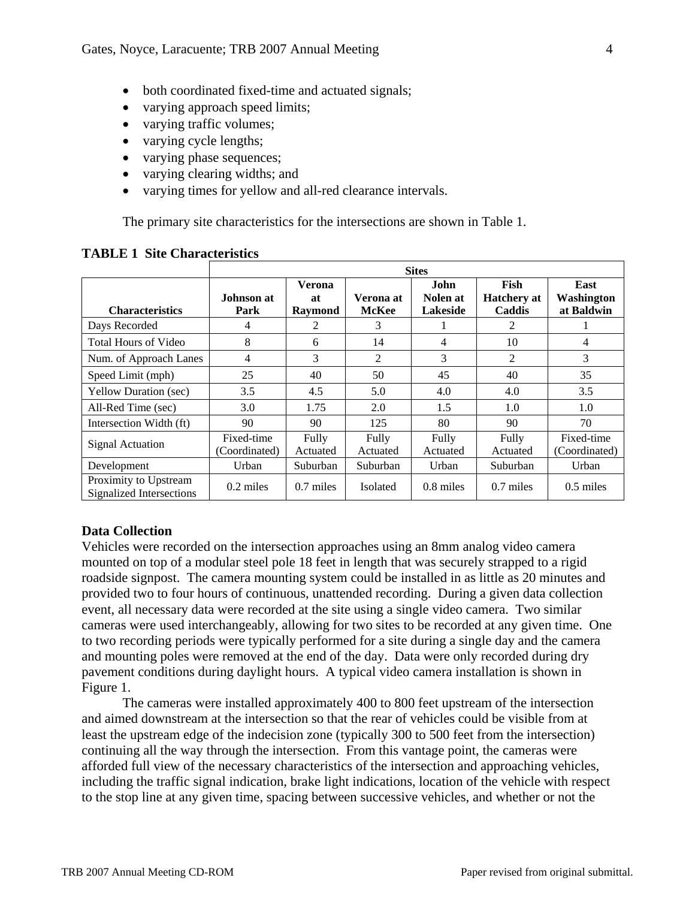- both coordinated fixed-time and actuated signals;
- varying approach speed limits;
- varying traffic volumes;
- varying cycle lengths;
- varying phase sequences;
- varying clearing widths; and
- varying times for yellow and all-red clearance intervals.

The primary site characteristics for the intersections are shown in Table 1.

|                                                   | <b>Sites</b>                |                                       |                           |                              |                                      |                                  |  |  |  |  |
|---------------------------------------------------|-----------------------------|---------------------------------------|---------------------------|------------------------------|--------------------------------------|----------------------------------|--|--|--|--|
| <b>Characteristics</b>                            | Johnson at<br>Park          | <b>Verona</b><br>at<br><b>Raymond</b> | Verona at<br><b>McKee</b> | John<br>Nolen at<br>Lakeside | Fish<br><b>Hatchery</b> at<br>Caddis | East<br>Washington<br>at Baldwin |  |  |  |  |
| Days Recorded                                     | 4                           | 2                                     | 3                         |                              | 2                                    |                                  |  |  |  |  |
| Total Hours of Video                              | 8                           | 6                                     | 14                        | 4                            | 10                                   | 4                                |  |  |  |  |
| Num. of Approach Lanes                            | 4                           | 3                                     | 2                         | 3                            | $\mathfrak{D}$                       | 3                                |  |  |  |  |
| Speed Limit (mph)                                 | 25                          | 40                                    | 50                        | 45                           | 40                                   | 35                               |  |  |  |  |
| <b>Yellow Duration (sec)</b>                      | 3.5                         | 4.5                                   | 5.0                       | 4.0                          | 4.0                                  | 3.5                              |  |  |  |  |
| All-Red Time (sec)                                | 3.0                         | 1.75                                  | 2.0                       | 1.5                          | 1.0                                  | 1.0                              |  |  |  |  |
| Intersection Width (ft)                           | 90                          | 90                                    | 125                       | 80                           | 90                                   | 70                               |  |  |  |  |
| Signal Actuation                                  | Fixed-time<br>(Coordinated) | Fully<br>Actuated                     | Fully<br>Actuated         | Fully<br>Actuated            | Fully<br>Actuated                    | Fixed-time<br>(Coordinated)      |  |  |  |  |
| Development                                       | Urban                       | Suburban                              | Suburban                  | Urban                        | Suburban                             | Urban                            |  |  |  |  |
| Proximity to Upstream<br>Signalized Intersections | $0.2$ miles                 | $0.7$ miles                           | <b>Isolated</b>           | $0.8$ miles                  | $0.7$ miles                          | $0.5$ miles                      |  |  |  |  |

### **TABLE 1 Site Characteristics**

## **Data Collection**

Vehicles were recorded on the intersection approaches using an 8mm analog video camera mounted on top of a modular steel pole 18 feet in length that was securely strapped to a rigid roadside signpost. The camera mounting system could be installed in as little as 20 minutes and provided two to four hours of continuous, unattended recording. During a given data collection event, all necessary data were recorded at the site using a single video camera. Two similar cameras were used interchangeably, allowing for two sites to be recorded at any given time. One to two recording periods were typically performed for a site during a single day and the camera and mounting poles were removed at the end of the day. Data were only recorded during dry pavement conditions during daylight hours. A typical video camera installation is shown in Figure 1.

The cameras were installed approximately 400 to 800 feet upstream of the intersection and aimed downstream at the intersection so that the rear of vehicles could be visible from at least the upstream edge of the indecision zone (typically 300 to 500 feet from the intersection) continuing all the way through the intersection. From this vantage point, the cameras were afforded full view of the necessary characteristics of the intersection and approaching vehicles, including the traffic signal indication, brake light indications, location of the vehicle with respect to the stop line at any given time, spacing between successive vehicles, and whether or not the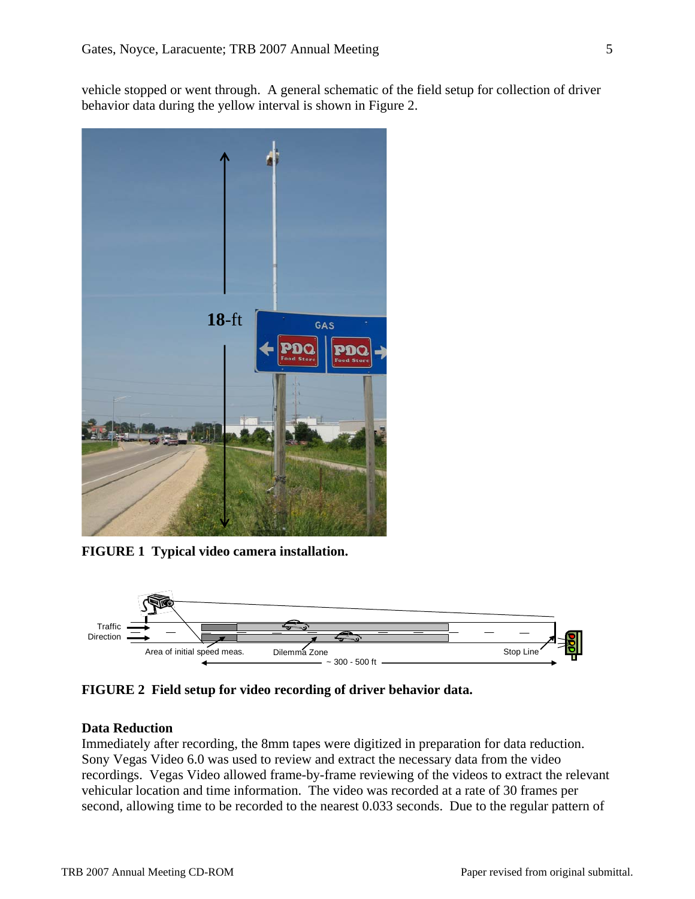vehicle stopped or went through. A general schematic of the field setup for collection of driver behavior data during the yellow interval is shown in Figure 2.



**FIGURE 1 Typical video camera installation.** 



**FIGURE 2 Field setup for video recording of driver behavior data.** 

#### **Data Reduction**

Immediately after recording, the 8mm tapes were digitized in preparation for data reduction. Sony Vegas Video 6.0 was used to review and extract the necessary data from the video recordings. Vegas Video allowed frame-by-frame reviewing of the videos to extract the relevant vehicular location and time information. The video was recorded at a rate of 30 frames per second, allowing time to be recorded to the nearest 0.033 seconds. Due to the regular pattern of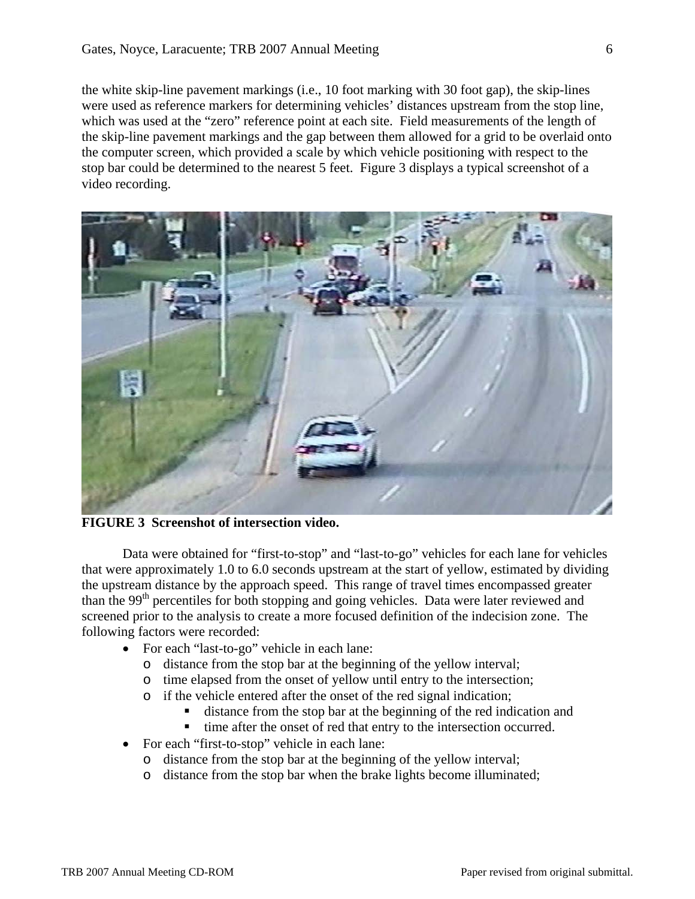the white skip-line pavement markings (i.e., 10 foot marking with 30 foot gap), the skip-lines were used as reference markers for determining vehicles' distances upstream from the stop line, which was used at the "zero" reference point at each site. Field measurements of the length of the skip-line pavement markings and the gap between them allowed for a grid to be overlaid onto the computer screen, which provided a scale by which vehicle positioning with respect to the stop bar could be determined to the nearest 5 feet. Figure 3 displays a typical screenshot of a video recording.



**FIGURE 3 Screenshot of intersection video.** 

Data were obtained for "first-to-stop" and "last-to-go" vehicles for each lane for vehicles that were approximately 1.0 to 6.0 seconds upstream at the start of yellow, estimated by dividing the upstream distance by the approach speed. This range of travel times encompassed greater than the 99<sup>th</sup> percentiles for both stopping and going vehicles. Data were later reviewed and screened prior to the analysis to create a more focused definition of the indecision zone. The following factors were recorded:

- For each "last-to-go" vehicle in each lane:
	- o distance from the stop bar at the beginning of the yellow interval;
	- o time elapsed from the onset of yellow until entry to the intersection;
	- o if the vehicle entered after the onset of the red signal indication;
		- distance from the stop bar at the beginning of the red indication and
		- time after the onset of red that entry to the intersection occurred.
- For each "first-to-stop" vehicle in each lane:
	- o distance from the stop bar at the beginning of the yellow interval;
	- o distance from the stop bar when the brake lights become illuminated;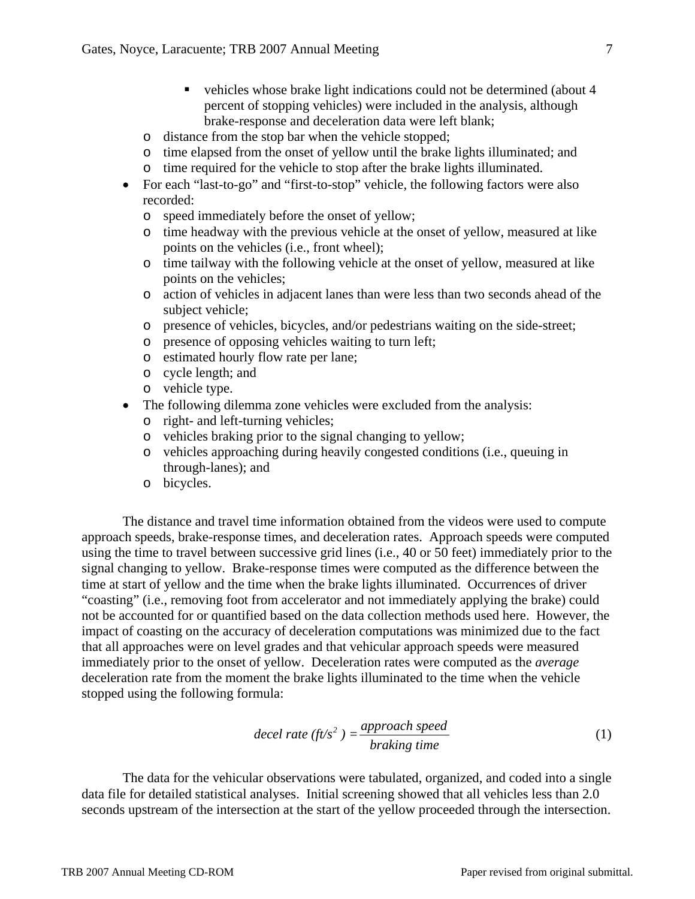- vehicles whose brake light indications could not be determined (about 4) percent of stopping vehicles) were included in the analysis, although brake-response and deceleration data were left blank;
- o distance from the stop bar when the vehicle stopped;
- o time elapsed from the onset of yellow until the brake lights illuminated; and o time required for the vehicle to stop after the brake lights illuminated.
- For each "last-to-go" and "first-to-stop" vehicle, the following factors were also recorded:
	- o speed immediately before the onset of yellow;
	- o time headway with the previous vehicle at the onset of yellow, measured at like points on the vehicles (i.e., front wheel);
	- o time tailway with the following vehicle at the onset of yellow, measured at like points on the vehicles;
	- o action of vehicles in adjacent lanes than were less than two seconds ahead of the subject vehicle;
	- o presence of vehicles, bicycles, and/or pedestrians waiting on the side-street;
	- o presence of opposing vehicles waiting to turn left;
	- o estimated hourly flow rate per lane;
	- o cycle length; and
	- o vehicle type.
- The following dilemma zone vehicles were excluded from the analysis:
	- o right- and left-turning vehicles;
	- o vehicles braking prior to the signal changing to yellow;
	- o vehicles approaching during heavily congested conditions (i.e., queuing in through-lanes); and
	- o bicycles.

The distance and travel time information obtained from the videos were used to compute approach speeds, brake-response times, and deceleration rates. Approach speeds were computed using the time to travel between successive grid lines (i.e., 40 or 50 feet) immediately prior to the signal changing to yellow. Brake-response times were computed as the difference between the time at start of yellow and the time when the brake lights illuminated. Occurrences of driver "coasting" (i.e., removing foot from accelerator and not immediately applying the brake) could not be accounted for or quantified based on the data collection methods used here. However, the impact of coasting on the accuracy of deceleration computations was minimized due to the fact that all approaches were on level grades and that vehicular approach speeds were measured immediately prior to the onset of yellow. Deceleration rates were computed as the *average* deceleration rate from the moment the brake lights illuminated to the time when the vehicle stopped using the following formula:

$$
decel rate (ft/s2) = \frac{approach speed}{braking time}
$$
 (1)

The data for the vehicular observations were tabulated, organized, and coded into a single data file for detailed statistical analyses. Initial screening showed that all vehicles less than 2.0 seconds upstream of the intersection at the start of the yellow proceeded through the intersection.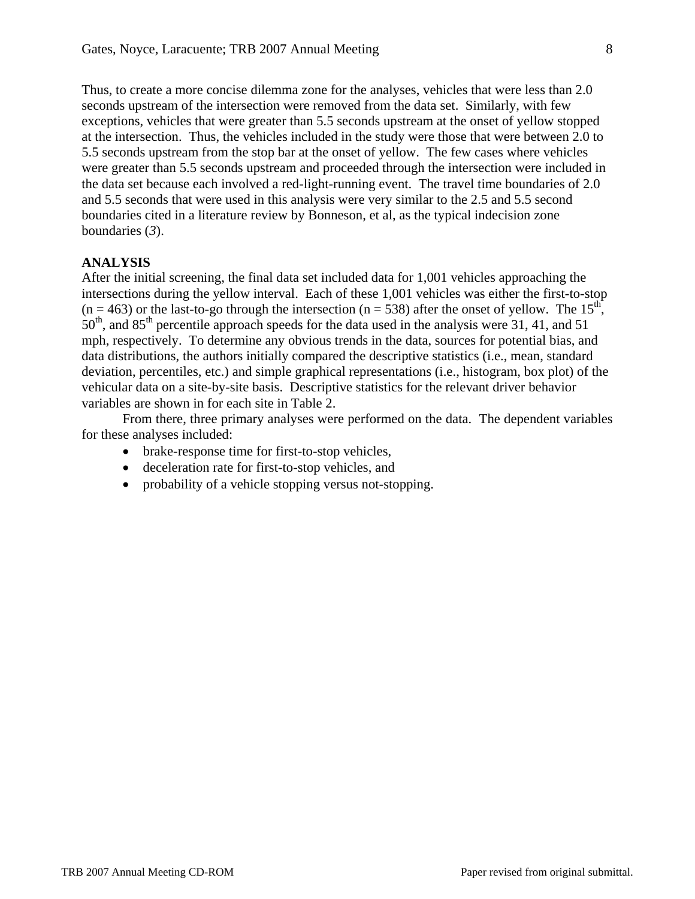Thus, to create a more concise dilemma zone for the analyses, vehicles that were less than 2.0 seconds upstream of the intersection were removed from the data set. Similarly, with few exceptions, vehicles that were greater than 5.5 seconds upstream at the onset of yellow stopped at the intersection. Thus, the vehicles included in the study were those that were between 2.0 to 5.5 seconds upstream from the stop bar at the onset of yellow. The few cases where vehicles were greater than 5.5 seconds upstream and proceeded through the intersection were included in the data set because each involved a red-light-running event. The travel time boundaries of 2.0 and 5.5 seconds that were used in this analysis were very similar to the 2.5 and 5.5 second boundaries cited in a literature review by Bonneson, et al, as the typical indecision zone boundaries (*3*).

## **ANALYSIS**

After the initial screening, the final data set included data for 1,001 vehicles approaching the intersections during the yellow interval. Each of these 1,001 vehicles was either the first-to-stop  $(n = 463)$  or the last-to-go through the intersection  $(n = 538)$  after the onset of yellow. The 15<sup>th</sup>, 50<sup>th</sup>, and 85<sup>th</sup> percentile approach speeds for the data used in the analysis were 31, 41, and 51 mph, respectively. To determine any obvious trends in the data, sources for potential bias, and data distributions, the authors initially compared the descriptive statistics (i.e., mean, standard deviation, percentiles, etc.) and simple graphical representations (i.e., histogram, box plot) of the vehicular data on a site-by-site basis. Descriptive statistics for the relevant driver behavior variables are shown in for each site in Table 2.

From there, three primary analyses were performed on the data. The dependent variables for these analyses included:

- brake-response time for first-to-stop vehicles,
- deceleration rate for first-to-stop vehicles, and
- probability of a vehicle stopping versus not-stopping.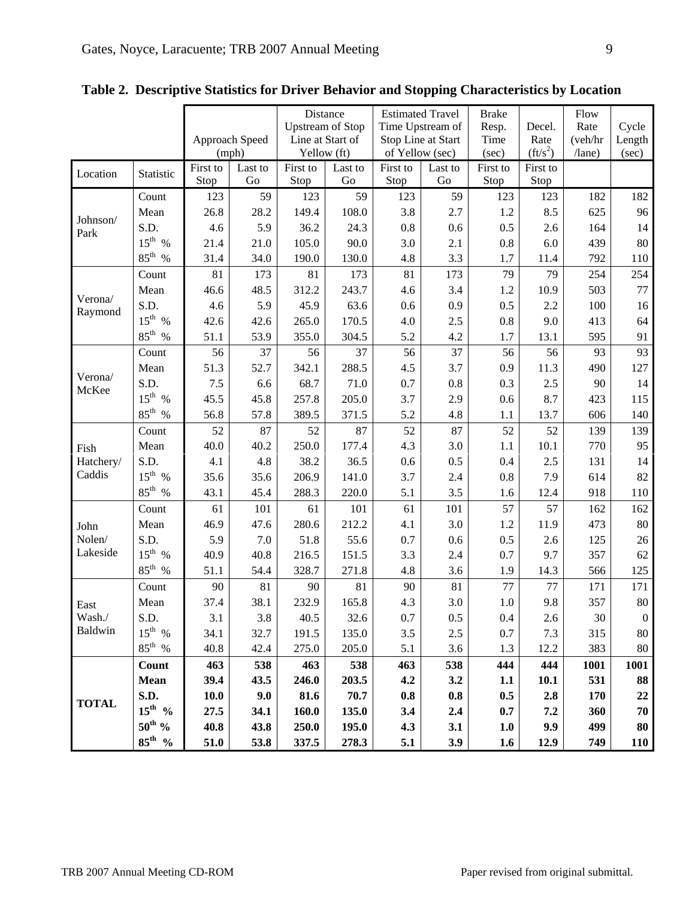|                            |                    |                  |               | Distance                |               | <b>Estimated Travel</b> |               | <b>Brake</b>     |                  | Flow         |                  |
|----------------------------|--------------------|------------------|---------------|-------------------------|---------------|-------------------------|---------------|------------------|------------------|--------------|------------------|
|                            |                    |                  |               | <b>Upstream of Stop</b> |               | Time Upstream of        |               | Resp.            | Decel.           | Rate         | Cycle            |
|                            |                    | Approach Speed   |               | Line at Start of        |               | Stop Line at Start      |               | Time             | Rate             | (veh/hr      | Length           |
|                            |                    | (mph)            |               | Yellow (ft)             |               | of Yellow (sec)         |               | (sec)            | $({\rm ft/s}^2)$ | $/$ lane $)$ | (sec)            |
| Location                   | Statistic          | First to<br>Stop | Last to<br>Go | First to<br>Stop        | Last to<br>Go | First to<br>Stop        | Last to<br>Go | First to<br>Stop | First to<br>Stop |              |                  |
| Johnson/<br>Park           | Count              | 123              | 59            | 123                     | 59            | 123                     | 59            | 123              | 123              | 182          | 182              |
|                            | Mean               | 26.8             | 28.2          | 149.4                   | 108.0         | 3.8                     | 2.7           | 1.2              | 8.5              | 625          | 96               |
|                            | S.D.               | 4.6              | 5.9           |                         | 24.3          | $0.8\,$                 |               | 0.5              |                  | 164          | 14               |
|                            | $15^{th}$ %        | 21.4             | 21.0          | 36.2<br>105.0           | 90.0          | 3.0                     | 0.6<br>2.1    | 0.8              | 2.6<br>6.0       | 439          | 80               |
|                            | $85^{\text{th}}$ % | 31.4             | 34.0          | 190.0                   | 130.0         | 4.8                     | 3.3           | 1.7              | 11.4             | 792          | 110              |
|                            | Count              | 81               | 173           | 81                      | 173           | 81                      | 173           | 79               | 79               | 254          | 254              |
| Verona/                    |                    |                  | 48.5          | 312.2                   | 243.7         |                         |               |                  |                  | 503          | 77               |
|                            | Mean<br>S.D.       | 46.6<br>4.6      | 5.9           | 45.9                    | 63.6          | 4.6                     | 3.4<br>0.9    | 1.2<br>0.5       | 10.9<br>2.2      | 100          | 16               |
| Raymond                    | $15^{\text{th}}$ % | 42.6             | 42.6          | 265.0                   | 170.5         | 0.6<br>4.0              | 2.5           | 0.8              | 9.0              | 413          | 64               |
|                            | $85^{\rm th}$ %    | 51.1             | 53.9          | 355.0                   | 304.5         | 5.2                     | 4.2           | 1.7              | 13.1             | 595          | 91               |
|                            | Count              | 56               | 37            | 56                      | 37            | 56                      | 37            | 56               | 56               | 93           | 93               |
| Verona/<br>McKee           | Mean               | 51.3             | 52.7          | 342.1                   | 288.5         | 4.5                     | 3.7           | 0.9              | 11.3             | 490          | 127              |
|                            | S.D.               | 7.5              | 6.6           | 68.7                    | 71.0          | 0.7                     | 0.8           | 0.3              | 2.5              | 90           | 14               |
|                            | $15^{th}$ %        | 45.5             | 45.8          | 257.8                   | 205.0         | 3.7                     | 2.9           | 0.6              | 8.7              | 423          | 115              |
|                            | $85^{\text{th}}$ % | 56.8             | 57.8          | 389.5                   | 371.5         | 5.2                     | 4.8           | 1.1              | 13.7             | 606          | 140              |
|                            | Count              | 52               | 87            | 52                      | 87            | 52                      | 87            | 52               | 52               | 139          | 139              |
| Fish                       | Mean               | 40.0             | 40.2          | 250.0                   | 177.4         | 4.3                     | 3.0           | 1.1              | 10.1             | 770          | 95               |
| Hatchery/                  | S.D.               | 4.1              | 4.8           | 38.2                    | 36.5          | 0.6                     | 0.5           | 0.4              | 2.5              | 131          | 14               |
| Caddis                     | $15^{\text{th}}$ % | 35.6             | 35.6          | 206.9                   | 141.0         | 3.7                     | 2.4           | 0.8              | 7.9              | 614          | 82               |
|                            | $85^{\rm th}$ %    | 43.1             | 45.4          | 288.3                   | 220.0         | 5.1                     | 3.5           | 1.6              | 12.4             | 918          | 110              |
| John<br>Nolen/<br>Lakeside | Count              | 61               | 101           | 61                      | 101           | 61                      | 101           | 57               | 57               | 162          | 162              |
|                            | Mean               | 46.9             | 47.6          | 280.6                   | 212.2         | 4.1                     | 3.0           | 1.2              | 11.9             | 473          | 80               |
|                            | S.D.               | 5.9              | 7.0           | 51.8                    | 55.6          | 0.7                     | 0.6           | 0.5              | 2.6              | 125          | 26               |
|                            | $15^{\text{th}}$ % | 40.9             | 40.8          | 216.5                   | 151.5         | 3.3                     | 2.4           | 0.7              | 9.7              | 357          | 62               |
|                            | $85^{\text{th}}$ % | 51.1             | 54.4          | 328.7                   | 271.8         | 4.8                     | 3.6           | 1.9              | 14.3             | 566          | 125              |
| East<br>Wash./<br>Baldwin  | Count              | 90               | 81            | 90                      | 81            | 90                      | 81            | 77               | 77               | 171          | 171              |
|                            | Mean               | 37.4             | 38.1          | 232.9                   | 165.8         | 4.3                     | 3.0           | $1.0\,$          | 9.8              | 357          | 80               |
|                            | S.D.               | 3.1              | 3.8           | 40.5                    | 32.6          | 0.7                     | 0.5           | 0.4              | 2.6              | 30           | $\boldsymbol{0}$ |
|                            | $15^{th}$ %        | 34.1             | 32.7          | 191.5                   | 135.0         | 3.5                     | $2.5\,$       | 0.7              | 7.3              | 315          | 80               |
|                            | $85^{\text{th}}$ % | 40.8             | 42.4          | 275.0                   | 205.0         | 5.1                     | 3.6           | 1.3              | 12.2             | 383          | 80               |
| <b>TOTAL</b>               | Count              | 463              | 538           | 463                     | 538           | 463                     | 538           | 444              | 444              | 1001         | 1001             |
|                            | <b>Mean</b>        | 39.4             | 43.5          | 246.0                   | 203.5         | 4.2                     | 3.2           | 1.1              | 10.1             | 531          | 88               |
|                            | S.D.               | 10.0             | 9.0           | 81.6                    | 70.7          | 0.8                     | 0.8           | 0.5              | 2.8              | 170          | 22               |
|                            | $15^{\text{th}}$ % | 27.5             | 34.1          | 160.0                   | 135.0         | 3.4                     | 2.4           | 0.7              | 7.2              | 360          | 70               |
|                            | $50^{\text{th}}$ % | 40.8             | 43.8          | 250.0                   | 195.0         | 4.3                     | 3.1           | 1.0              | 9.9              | 499          | 80               |
|                            | $85^{\text{th}}$ % | 51.0             | 53.8          | 337.5                   | 278.3         | 5.1                     | 3.9           | 1.6              | 12.9             | 749          | <b>110</b>       |

**Table 2. Descriptive Statistics for Driver Behavior and Stopping Characteristics by Location**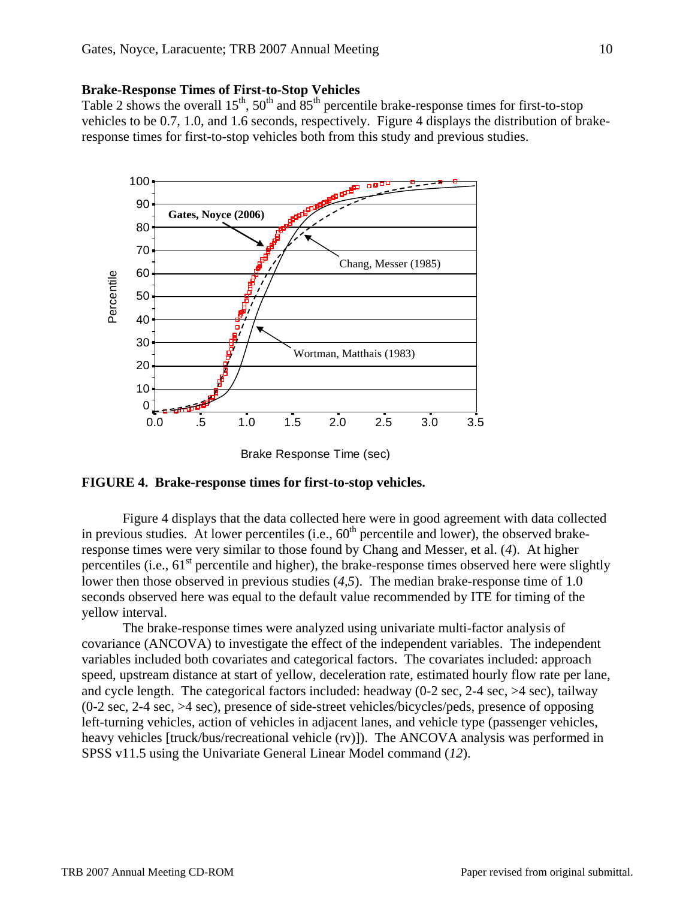#### **Brake-Response Times of First-to-Stop Vehicles**

Table 2 shows the overall  $15^{th}$ ,  $50^{th}$  and  $85^{th}$  percentile brake-response times for first-to-stop vehicles to be 0.7, 1.0, and 1.6 seconds, respectively. Figure 4 displays the distribution of brakeresponse times for first-to-stop vehicles both from this study and previous studies.



Brake Response Time (sec)

### **FIGURE 4. Brake-response times for first-to-stop vehicles.**

Figure 4 displays that the data collected here were in good agreement with data collected in previous studies. At lower percentiles (i.e.,  $60<sup>th</sup>$  percentile and lower), the observed brakeresponse times were very similar to those found by Chang and Messer, et al. (*4*). At higher percentiles (i.e.,  $61<sup>st</sup>$  percentile and higher), the brake-response times observed here were slightly lower then those observed in previous studies (*4,5*). The median brake-response time of 1.0 seconds observed here was equal to the default value recommended by ITE for timing of the yellow interval.

The brake-response times were analyzed using univariate multi-factor analysis of covariance (ANCOVA) to investigate the effect of the independent variables. The independent variables included both covariates and categorical factors. The covariates included: approach speed, upstream distance at start of yellow, deceleration rate, estimated hourly flow rate per lane, and cycle length. The categorical factors included: headway  $(0-2 \sec, 2-4 \sec, 5-4 \sec)$ , tailway (0-2 sec, 2-4 sec, >4 sec), presence of side-street vehicles/bicycles/peds, presence of opposing left-turning vehicles, action of vehicles in adjacent lanes, and vehicle type (passenger vehicles, heavy vehicles [truck/bus/recreational vehicle (rv)]). The ANCOVA analysis was performed in SPSS v11.5 using the Univariate General Linear Model command (*12*).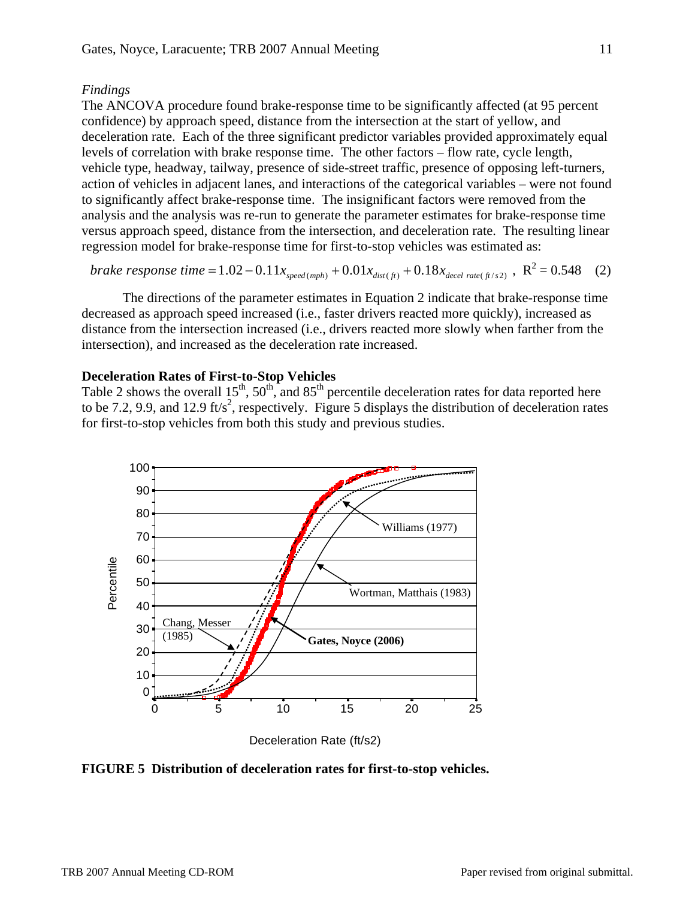### *Findings*

The ANCOVA procedure found brake-response time to be significantly affected (at 95 percent confidence) by approach speed, distance from the intersection at the start of yellow, and deceleration rate. Each of the three significant predictor variables provided approximately equal levels of correlation with brake response time. The other factors – flow rate, cycle length, vehicle type, headway, tailway, presence of side-street traffic, presence of opposing left-turners, action of vehicles in adjacent lanes, and interactions of the categorical variables – were not found to significantly affect brake-response time. The insignificant factors were removed from the analysis and the analysis was re-run to generate the parameter estimates for brake-response time versus approach speed, distance from the intersection, and deceleration rate. The resulting linear regression model for brake-response time for first-to-stop vehicles was estimated as:

brake response time = 
$$
1.02 - 0.11x_{\text{speed (mph)}} + 0.01x_{\text{dist}(ft)} + 0.18x_{\text{decel rate (ft/s2)}}
$$
,  $R^2 = 0.548$  (2)

 The directions of the parameter estimates in Equation 2 indicate that brake-response time decreased as approach speed increased (i.e., faster drivers reacted more quickly), increased as distance from the intersection increased (i.e., drivers reacted more slowly when farther from the intersection), and increased as the deceleration rate increased.

### **Deceleration Rates of First-to-Stop Vehicles**

Table 2 shows the overall  $15^{th}$ ,  $50^{th}$ , and  $85^{th}$  percentile deceleration rates for data reported here to be 7.2, 9.9, and 12.9 ft/s<sup>2</sup>, respectively. Figure 5 displays the distribution of deceleration rates for first-to-stop vehicles from both this study and previous studies.



**FIGURE 5 Distribution of deceleration rates for first-to-stop vehicles.**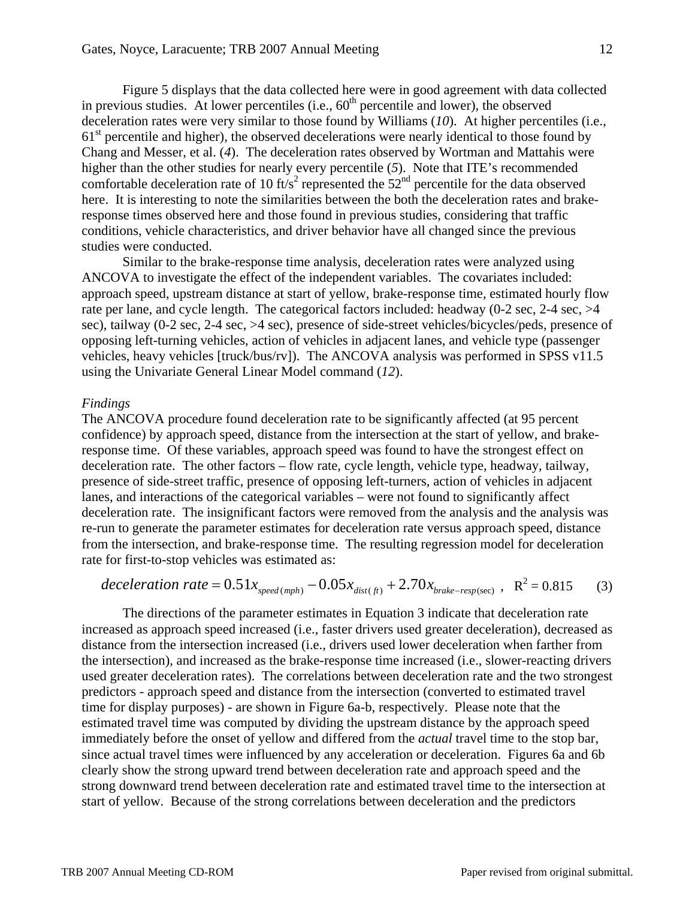Figure 5 displays that the data collected here were in good agreement with data collected in previous studies. At lower percentiles (i.e.,  $60<sup>th</sup>$  percentile and lower), the observed deceleration rates were very similar to those found by Williams (*10*). At higher percentiles (i.e.,  $61<sup>st</sup>$  percentile and higher), the observed decelerations were nearly identical to those found by Chang and Messer, et al. (*4*). The deceleration rates observed by Wortman and Mattahis were higher than the other studies for nearly every percentile (*5*). Note that ITE's recommended comfortable deceleration rate of 10 ft/s<sup>2</sup> represented the  $52<sup>nd</sup>$  percentile for the data observed here. It is interesting to note the similarities between the both the deceleration rates and brakeresponse times observed here and those found in previous studies, considering that traffic conditions, vehicle characteristics, and driver behavior have all changed since the previous studies were conducted.

Similar to the brake-response time analysis, deceleration rates were analyzed using ANCOVA to investigate the effect of the independent variables. The covariates included: approach speed, upstream distance at start of yellow, brake-response time, estimated hourly flow rate per lane, and cycle length. The categorical factors included: headway (0-2 sec, 2-4 sec, >4 sec), tailway (0-2 sec, 2-4 sec, >4 sec), presence of side-street vehicles/bicycles/peds, presence of opposing left-turning vehicles, action of vehicles in adjacent lanes, and vehicle type (passenger vehicles, heavy vehicles [truck/bus/rv]). The ANCOVA analysis was performed in SPSS v11.5 using the Univariate General Linear Model command (*12*).

#### *Findings*

The ANCOVA procedure found deceleration rate to be significantly affected (at 95 percent confidence) by approach speed, distance from the intersection at the start of yellow, and brakeresponse time. Of these variables, approach speed was found to have the strongest effect on deceleration rate. The other factors – flow rate, cycle length, vehicle type, headway, tailway, presence of side-street traffic, presence of opposing left-turners, action of vehicles in adjacent lanes, and interactions of the categorical variables – were not found to significantly affect deceleration rate. The insignificant factors were removed from the analysis and the analysis was re-run to generate the parameter estimates for deceleration rate versus approach speed, distance from the intersection, and brake-response time. The resulting regression model for deceleration rate for first-to-stop vehicles was estimated as:

*deceleration rate* = 
$$
0.51x_{speed(mph)} - 0.05x_{dist(f)}
$$
 +  $2.70x_{brake-resp/sec)}$ ,  $R^2 = 0.815$  (3)

The directions of the parameter estimates in Equation 3 indicate that deceleration rate increased as approach speed increased (i.e., faster drivers used greater deceleration), decreased as distance from the intersection increased (i.e., drivers used lower deceleration when farther from the intersection), and increased as the brake-response time increased (i.e., slower-reacting drivers used greater deceleration rates). The correlations between deceleration rate and the two strongest predictors - approach speed and distance from the intersection (converted to estimated travel time for display purposes) - are shown in Figure 6a-b, respectively. Please note that the estimated travel time was computed by dividing the upstream distance by the approach speed immediately before the onset of yellow and differed from the *actual* travel time to the stop bar, since actual travel times were influenced by any acceleration or deceleration. Figures 6a and 6b clearly show the strong upward trend between deceleration rate and approach speed and the strong downward trend between deceleration rate and estimated travel time to the intersection at start of yellow. Because of the strong correlations between deceleration and the predictors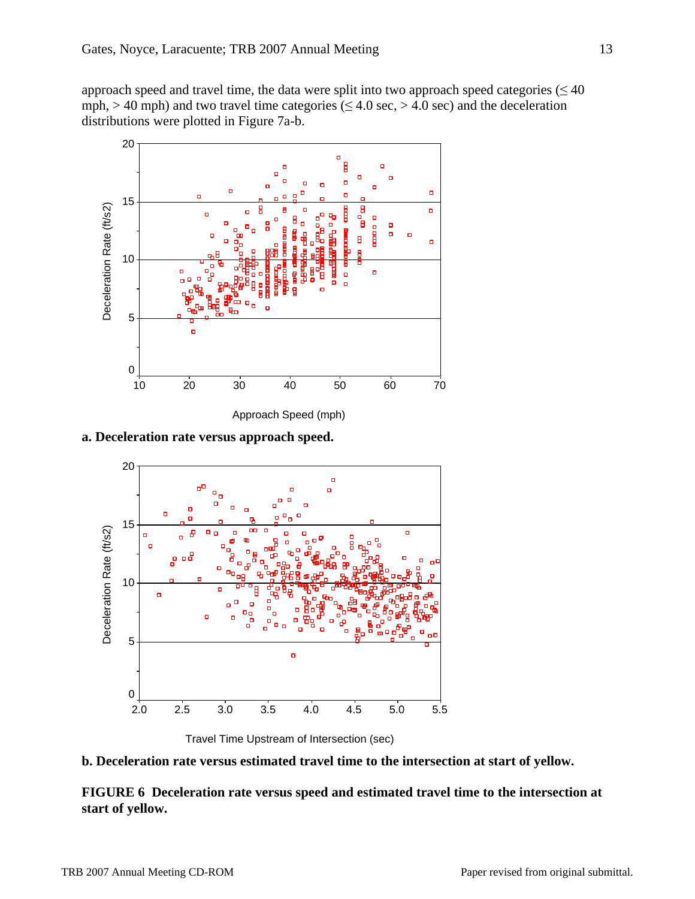approach speed and travel time, the data were split into two approach speed categories ( $\leq 40$ ) mph, > 40 mph) and two travel time categories ( $\leq$  4.0 sec, > 4.0 sec) and the deceleration distributions were plotted in Figure 7a-b.



**a. Deceleration rate versus approach speed.** 





**b. Deceleration rate versus estimated travel time to the intersection at start of yellow.** 

**FIGURE 6 Deceleration rate versus speed and estimated travel time to the intersection at start of yellow.**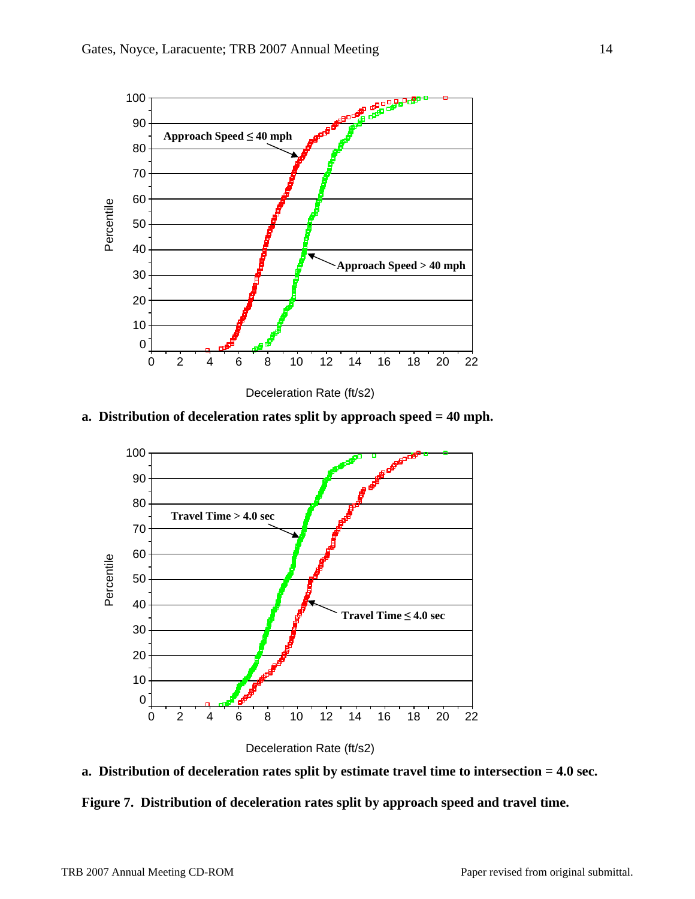

Deceleration Rate (ft/s2)





Deceleration Rate (ft/s2)



**Figure 7. Distribution of deceleration rates split by approach speed and travel time.**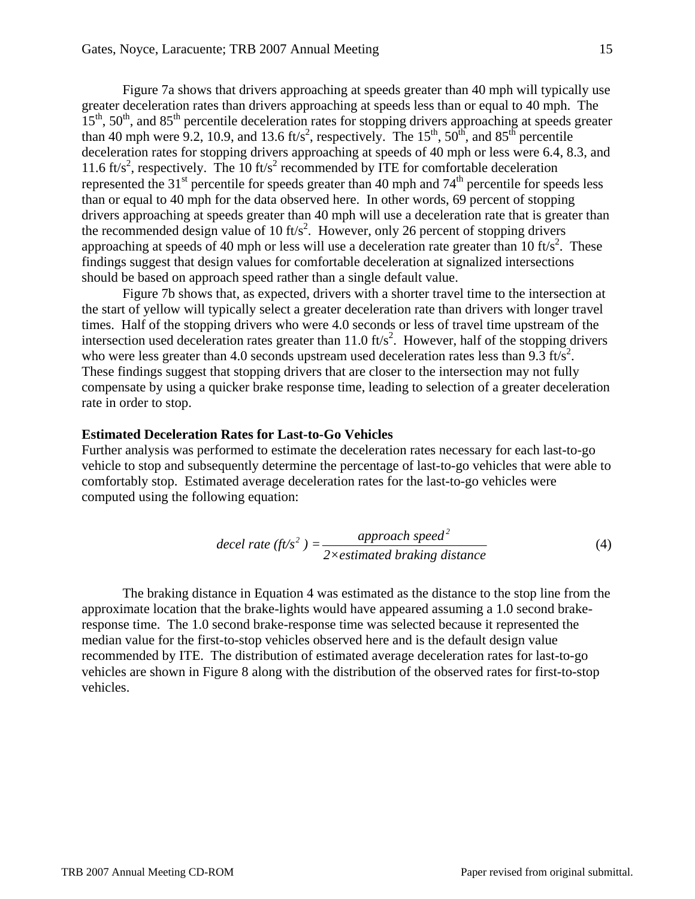Figure 7a shows that drivers approaching at speeds greater than 40 mph will typically use greater deceleration rates than drivers approaching at speeds less than or equal to 40 mph. The  $15<sup>th</sup>$ ,  $50<sup>th</sup>$ , and  $85<sup>th</sup>$  percentile deceleration rates for stopping drivers approaching at speeds greater than 40 mph were 9.2, 10.9, and 13.6 ft/s<sup>2</sup>, respectively. The 15<sup>th</sup>, 50<sup>th</sup>, and 85<sup>th</sup> percentile deceleration rates for stopping drivers approaching at speeds of 40 mph or less were 6.4, 8.3, and 11.6 ft/s<sup>2</sup>, respectively. The 10 ft/s<sup>2</sup> recommended by ITE for comfortable deceleration represented the  $31<sup>st</sup>$  percentile for speeds greater than 40 mph and  $74<sup>th</sup>$  percentile for speeds less than or equal to 40 mph for the data observed here. In other words, 69 percent of stopping drivers approaching at speeds greater than 40 mph will use a deceleration rate that is greater than the recommended design value of 10 ft/s<sup>2</sup>. However, only 26 percent of stopping drivers approaching at speeds of 40 mph or less will use a deceleration rate greater than  $10 \text{ ft/s}^2$ . These findings suggest that design values for comfortable deceleration at signalized intersections should be based on approach speed rather than a single default value.

Figure 7b shows that, as expected, drivers with a shorter travel time to the intersection at the start of yellow will typically select a greater deceleration rate than drivers with longer travel times. Half of the stopping drivers who were 4.0 seconds or less of travel time upstream of the intersection used deceleration rates greater than  $11.0$  ft/s<sup>2</sup>. However, half of the stopping drivers who were less greater than 4.0 seconds upstream used deceleration rates less than  $9.3$  ft/s<sup>2</sup>. These findings suggest that stopping drivers that are closer to the intersection may not fully compensate by using a quicker brake response time, leading to selection of a greater deceleration rate in order to stop.

#### **Estimated Deceleration Rates for Last-to-Go Vehicles**

Further analysis was performed to estimate the deceleration rates necessary for each last-to-go vehicle to stop and subsequently determine the percentage of last-to-go vehicles that were able to comfortably stop. Estimated average deceleration rates for the last-to-go vehicles were computed using the following equation:

$$
decel rate (ft/s2) = \frac{approach speed2}{2 \times estimated braking distance}
$$
\n(4)

The braking distance in Equation 4 was estimated as the distance to the stop line from the approximate location that the brake-lights would have appeared assuming a 1.0 second brakeresponse time. The 1.0 second brake-response time was selected because it represented the median value for the first-to-stop vehicles observed here and is the default design value recommended by ITE. The distribution of estimated average deceleration rates for last-to-go vehicles are shown in Figure 8 along with the distribution of the observed rates for first-to-stop vehicles.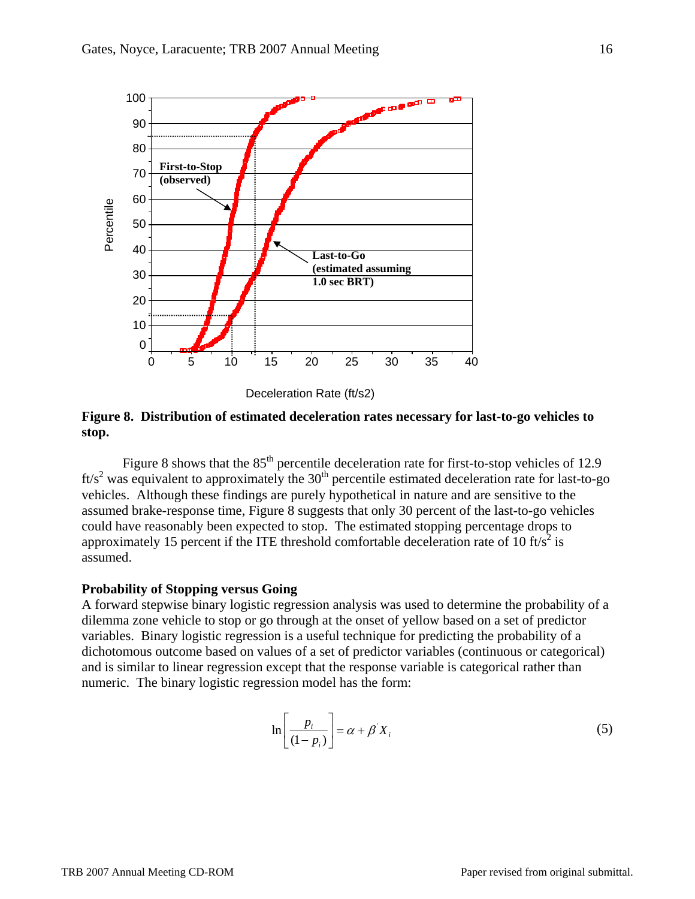

Deceleration Rate (ft/s2)

### **Figure 8. Distribution of estimated deceleration rates necessary for last-to-go vehicles to stop.**

Figure 8 shows that the  $85<sup>th</sup>$  percentile deceleration rate for first-to-stop vehicles of 12.9  $\text{ft/s}^2$  was equivalent to approximately the 30<sup>th</sup> percentile estimated deceleration rate for last-to-go vehicles. Although these findings are purely hypothetical in nature and are sensitive to the assumed brake-response time, Figure 8 suggests that only 30 percent of the last-to-go vehicles could have reasonably been expected to stop. The estimated stopping percentage drops to approximately 15 percent if the ITE threshold comfortable deceleration rate of  $10 \text{ ft/s}^2$  is assumed.

### **Probability of Stopping versus Going**

A forward stepwise binary logistic regression analysis was used to determine the probability of a dilemma zone vehicle to stop or go through at the onset of yellow based on a set of predictor variables. Binary logistic regression is a useful technique for predicting the probability of a dichotomous outcome based on values of a set of predictor variables (continuous or categorical) and is similar to linear regression except that the response variable is categorical rather than numeric. The binary logistic regression model has the form:

$$
\ln\left[\frac{p_i}{(1-p_i)}\right] = \alpha + \beta' X_i \tag{5}
$$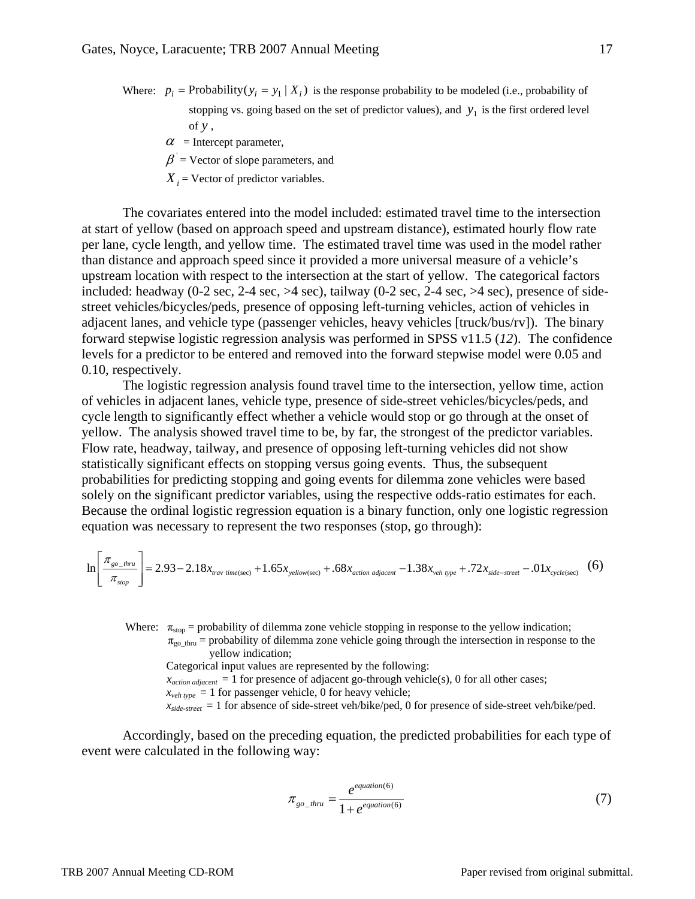- Where:  $p_i$  = Probability( $y_i = y_1 | X_i$ ) is the response probability to be modeled (i.e., probability of stopping vs. going based on the set of predictor values), and  $y_1$  is the first ordered level of *y* ,
	- $\alpha$  = Intercept parameter,
	- $\beta$  = Vector of slope parameters, and
	- $X_i$  = Vector of predictor variables.

The covariates entered into the model included: estimated travel time to the intersection at start of yellow (based on approach speed and upstream distance), estimated hourly flow rate per lane, cycle length, and yellow time. The estimated travel time was used in the model rather than distance and approach speed since it provided a more universal measure of a vehicle's upstream location with respect to the intersection at the start of yellow. The categorical factors included: headway (0-2 sec, 2-4 sec,  $>$ 4 sec), tailway (0-2 sec, 2-4 sec,  $>$ 4 sec), presence of sidestreet vehicles/bicycles/peds, presence of opposing left-turning vehicles, action of vehicles in adjacent lanes, and vehicle type (passenger vehicles, heavy vehicles [truck/bus/rv]). The binary forward stepwise logistic regression analysis was performed in SPSS v11.5 (*12*). The confidence levels for a predictor to be entered and removed into the forward stepwise model were 0.05 and 0.10, respectively.

The logistic regression analysis found travel time to the intersection, yellow time, action of vehicles in adjacent lanes, vehicle type, presence of side-street vehicles/bicycles/peds, and cycle length to significantly effect whether a vehicle would stop or go through at the onset of yellow. The analysis showed travel time to be, by far, the strongest of the predictor variables. Flow rate, headway, tailway, and presence of opposing left-turning vehicles did not show statistically significant effects on stopping versus going events. Thus, the subsequent probabilities for predicting stopping and going events for dilemma zone vehicles were based solely on the significant predictor variables, using the respective odds-ratio estimates for each. Because the ordinal logistic regression equation is a binary function, only one logistic regression equation was necessary to represent the two responses (stop, go through):

$$
\ln\left[\frac{\pi_{\text{go\_thru}}}{\pi_{\text{stop}}}\right] = 2.93 - 2.18x_{\text{trav time/sec}} + 1.65x_{\text{yellow/sec}} + .68x_{\text{action adjacent}} - 1.38x_{\text{veh type}} + .72x_{\text{side-stream}} - .01x_{\text{cycle/sec}} \tag{6}
$$

Where:  $\pi_{stop}$  = probability of dilemma zone vehicle stopping in response to the yellow indication;  $\pi_{\rm go~thru}$  = probability of dilemma zone vehicle going through the intersection in response to the

Categorical input values are represented by the following:

 $x_{action\ adjacent} = 1$  for presence of adjacent go-through vehicle(s), 0 for all other cases;

 $x_{veh\, type} = 1$  for passenger vehicle, 0 for heavy vehicle;

 $x_{side\text{-}street} = 1$  for absence of side-street veh/bike/ped, 0 for presence of side-street veh/bike/ped.

Accordingly, based on the preceding equation, the predicted probabilities for each type of event were calculated in the following way:

$$
\pi_{\text{go\_thru}} = \frac{e^{\text{equation(6)}}}{1 + e^{\text{equation(6)}}} \tag{7}
$$

yellow indication;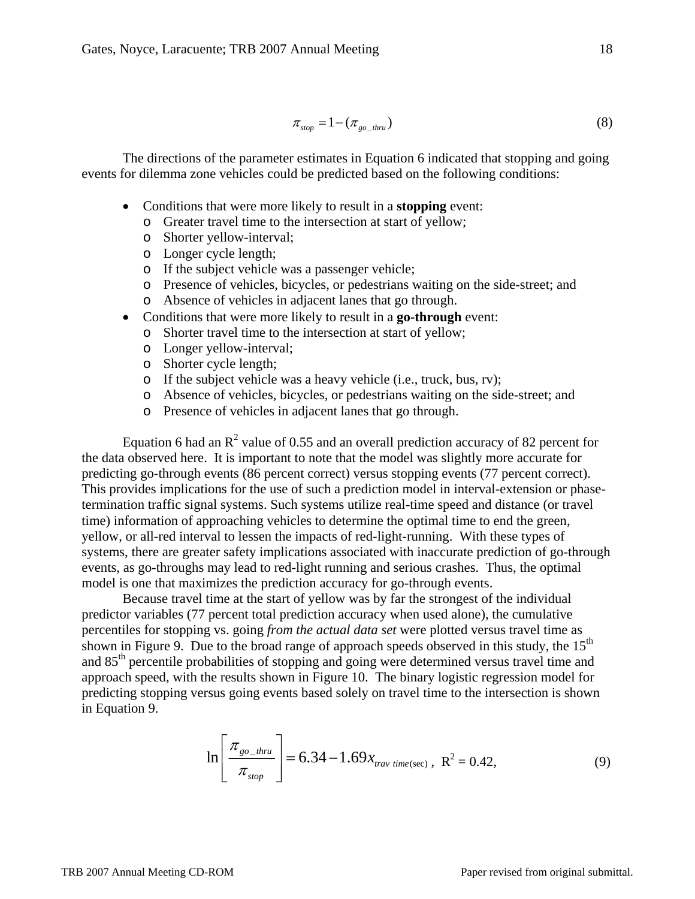$$
\pi_{\text{stop}} = 1 - (\pi_{\text{go\_thru}}) \tag{8}
$$

The directions of the parameter estimates in Equation 6 indicated that stopping and going events for dilemma zone vehicles could be predicted based on the following conditions:

- Conditions that were more likely to result in a **stopping** event:
	- o Greater travel time to the intersection at start of yellow;
	- o Shorter yellow-interval;
	- o Longer cycle length;
	- o If the subject vehicle was a passenger vehicle;
	- o Presence of vehicles, bicycles, or pedestrians waiting on the side-street; and
	- o Absence of vehicles in adjacent lanes that go through.
- Conditions that were more likely to result in a **go-through** event:
	- o Shorter travel time to the intersection at start of yellow;
		- o Longer yellow-interval;
		- o Shorter cycle length;
		- o If the subject vehicle was a heavy vehicle (i.e., truck, bus, rv);
		- o Absence of vehicles, bicycles, or pedestrians waiting on the side-street; and
		- o Presence of vehicles in adjacent lanes that go through.

Equation 6 had an  $\mathbb{R}^2$  value of 0.55 and an overall prediction accuracy of 82 percent for the data observed here. It is important to note that the model was slightly more accurate for predicting go-through events (86 percent correct) versus stopping events (77 percent correct). This provides implications for the use of such a prediction model in interval-extension or phasetermination traffic signal systems. Such systems utilize real-time speed and distance (or travel time) information of approaching vehicles to determine the optimal time to end the green, yellow, or all-red interval to lessen the impacts of red-light-running. With these types of systems, there are greater safety implications associated with inaccurate prediction of go-through events, as go-throughs may lead to red-light running and serious crashes. Thus, the optimal model is one that maximizes the prediction accuracy for go-through events.

Because travel time at the start of yellow was by far the strongest of the individual predictor variables (77 percent total prediction accuracy when used alone), the cumulative percentiles for stopping vs. going *from the actual data set* were plotted versus travel time as shown in Figure 9. Due to the broad range of approach speeds observed in this study, the  $15<sup>th</sup>$ and 85<sup>th</sup> percentile probabilities of stopping and going were determined versus travel time and approach speed, with the results shown in Figure 10. The binary logistic regression model for predicting stopping versus going events based solely on travel time to the intersection is shown in Equation 9.

$$
\ln\left[\frac{\pi_{\text{go\_thru}}}{\pi_{\text{stop}}}\right] = 6.34 - 1.69 x_{\text{trav time(sec)}}, \ \ R^2 = 0.42,\tag{9}
$$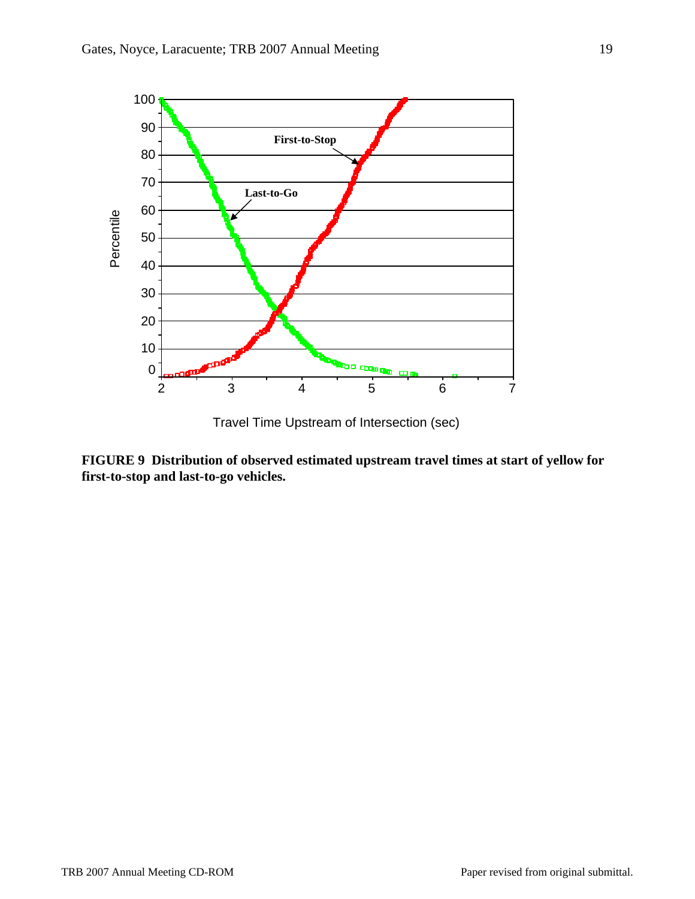

Travel Time Upstream of Intersection (sec)

**FIGURE 9 Distribution of observed estimated upstream travel times at start of yellow for first-to-stop and last-to-go vehicles.**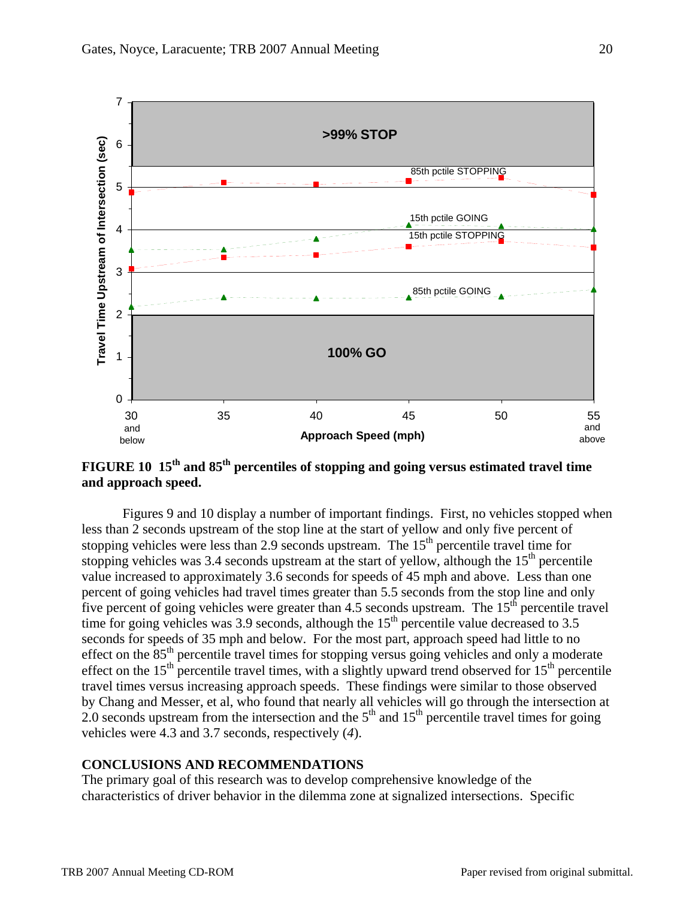

# **FIGURE 10 15th and 85th percentiles of stopping and going versus estimated travel time and approach speed.**

Figures 9 and 10 display a number of important findings. First, no vehicles stopped when less than 2 seconds upstream of the stop line at the start of yellow and only five percent of stopping vehicles were less than 2.9 seconds upstream. The  $15<sup>th</sup>$  percentile travel time for stopping vehicles was 3.4 seconds upstream at the start of yellow, although the  $15<sup>th</sup>$  percentile value increased to approximately 3.6 seconds for speeds of 45 mph and above. Less than one percent of going vehicles had travel times greater than 5.5 seconds from the stop line and only five percent of going vehicles were greater than 4.5 seconds upstream. The  $15<sup>th</sup>$  percentile travel time for going vehicles was 3.9 seconds, although the  $15<sup>th</sup>$  percentile value decreased to 3.5 seconds for speeds of 35 mph and below. For the most part, approach speed had little to no effect on the  $85<sup>th</sup>$  percentile travel times for stopping versus going vehicles and only a moderate effect on the  $15<sup>th</sup>$  percentile travel times, with a slightly upward trend observed for  $15<sup>th</sup>$  percentile travel times versus increasing approach speeds. These findings were similar to those observed by Chang and Messer, et al, who found that nearly all vehicles will go through the intersection at 2.0 seconds upstream from the intersection and the  $5<sup>th</sup>$  and  $15<sup>th</sup>$  percentile travel times for going vehicles were 4.3 and 3.7 seconds, respectively (*4*).

### **CONCLUSIONS AND RECOMMENDATIONS**

The primary goal of this research was to develop comprehensive knowledge of the characteristics of driver behavior in the dilemma zone at signalized intersections. Specific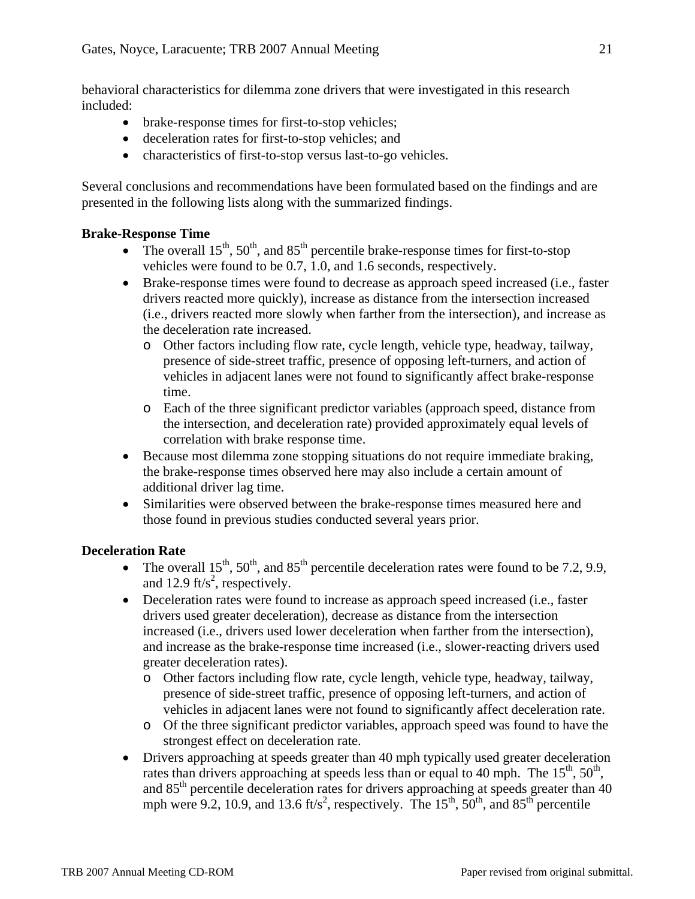behavioral characteristics for dilemma zone drivers that were investigated in this research included:

- brake-response times for first-to-stop vehicles;
- deceleration rates for first-to-stop vehicles; and
- characteristics of first-to-stop versus last-to-go vehicles.

Several conclusions and recommendations have been formulated based on the findings and are presented in the following lists along with the summarized findings.

## **Brake-Response Time**

- The overall  $15^{th}$ ,  $50^{th}$ , and  $85^{th}$  percentile brake-response times for first-to-stop vehicles were found to be 0.7, 1.0, and 1.6 seconds, respectively.
- Brake-response times were found to decrease as approach speed increased (i.e., faster drivers reacted more quickly), increase as distance from the intersection increased (i.e., drivers reacted more slowly when farther from the intersection), and increase as the deceleration rate increased.
	- o Other factors including flow rate, cycle length, vehicle type, headway, tailway, presence of side-street traffic, presence of opposing left-turners, and action of vehicles in adjacent lanes were not found to significantly affect brake-response time.
	- o Each of the three significant predictor variables (approach speed, distance from the intersection, and deceleration rate) provided approximately equal levels of correlation with brake response time.
- Because most dilemma zone stopping situations do not require immediate braking, the brake-response times observed here may also include a certain amount of additional driver lag time.
- Similarities were observed between the brake-response times measured here and those found in previous studies conducted several years prior.

## **Deceleration Rate**

- The overall  $15^{th}$ ,  $50^{th}$ , and  $85^{th}$  percentile deceleration rates were found to be 7.2, 9.9, and 12.9 ft/ $s^2$ , respectively.
- Deceleration rates were found to increase as approach speed increased (i.e., faster drivers used greater deceleration), decrease as distance from the intersection increased (i.e., drivers used lower deceleration when farther from the intersection), and increase as the brake-response time increased (i.e., slower-reacting drivers used greater deceleration rates).
	- o Other factors including flow rate, cycle length, vehicle type, headway, tailway, presence of side-street traffic, presence of opposing left-turners, and action of vehicles in adjacent lanes were not found to significantly affect deceleration rate.
	- o Of the three significant predictor variables, approach speed was found to have the strongest effect on deceleration rate.
- Drivers approaching at speeds greater than 40 mph typically used greater deceleration rates than drivers approaching at speeds less than or equal to 40 mph. The  $15^{th}$ ,  $50^{th}$ , and  $85<sup>th</sup>$  percentile deceleration rates for drivers approaching at speeds greater than 40 mph were 9.2, 10.9, and 13.6 ft/s<sup>2</sup>, respectively. The 15<sup>th</sup>, 50<sup>th</sup>, and 85<sup>th</sup> percentile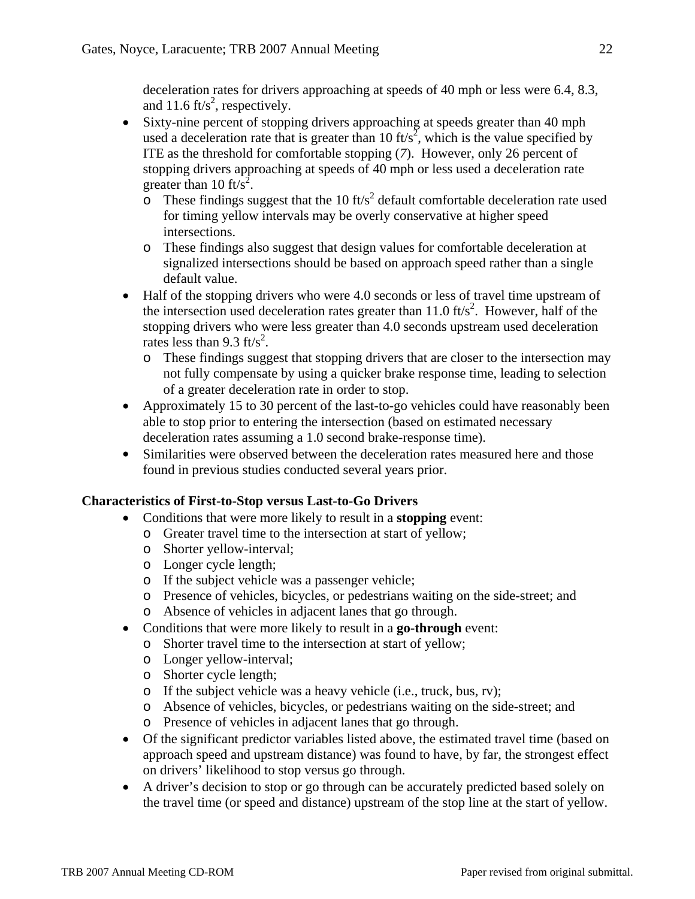deceleration rates for drivers approaching at speeds of 40 mph or less were 6.4, 8.3, and 11.6 ft/ $s^2$ , respectively.

- Sixty-nine percent of stopping drivers approaching at speeds greater than 40 mph used a deceleration rate that is greater than 10 ft/s<sup>2</sup>, which is the value specified by ITE as the threshold for comfortable stopping (*7*). However, only 26 percent of stopping drivers approaching at speeds of 40 mph or less used a deceleration rate greater than 10 ft/s<sup>2</sup>.
	- $\overline{\text{O}}$  These findings suggest that the 10 ft/s<sup>2</sup> default comfortable deceleration rate used for timing yellow intervals may be overly conservative at higher speed intersections.
	- o These findings also suggest that design values for comfortable deceleration at signalized intersections should be based on approach speed rather than a single default value.
- Half of the stopping drivers who were 4.0 seconds or less of travel time upstream of the intersection used deceleration rates greater than  $11.0 \text{ ft/s}^2$ . However, half of the stopping drivers who were less greater than 4.0 seconds upstream used deceleration rates less than 9.3 ft/s<sup>2</sup>.
	- o These findings suggest that stopping drivers that are closer to the intersection may not fully compensate by using a quicker brake response time, leading to selection of a greater deceleration rate in order to stop.
- Approximately 15 to 30 percent of the last-to-go vehicles could have reasonably been able to stop prior to entering the intersection (based on estimated necessary deceleration rates assuming a 1.0 second brake-response time).
- Similarities were observed between the deceleration rates measured here and those found in previous studies conducted several years prior.

# **Characteristics of First-to-Stop versus Last-to-Go Drivers**

- Conditions that were more likely to result in a **stopping** event:
	- o Greater travel time to the intersection at start of yellow;
	- o Shorter yellow-interval;
	- o Longer cycle length;
	- o If the subject vehicle was a passenger vehicle;
	- o Presence of vehicles, bicycles, or pedestrians waiting on the side-street; and
	- o Absence of vehicles in adjacent lanes that go through.
- Conditions that were more likely to result in a **go-through** event:
	- o Shorter travel time to the intersection at start of yellow;
	- o Longer yellow-interval;
	- o Shorter cycle length;
	- o If the subject vehicle was a heavy vehicle (i.e., truck, bus, rv);
	- o Absence of vehicles, bicycles, or pedestrians waiting on the side-street; and
	- o Presence of vehicles in adjacent lanes that go through.
- Of the significant predictor variables listed above, the estimated travel time (based on approach speed and upstream distance) was found to have, by far, the strongest effect on drivers' likelihood to stop versus go through.
- A driver's decision to stop or go through can be accurately predicted based solely on the travel time (or speed and distance) upstream of the stop line at the start of yellow.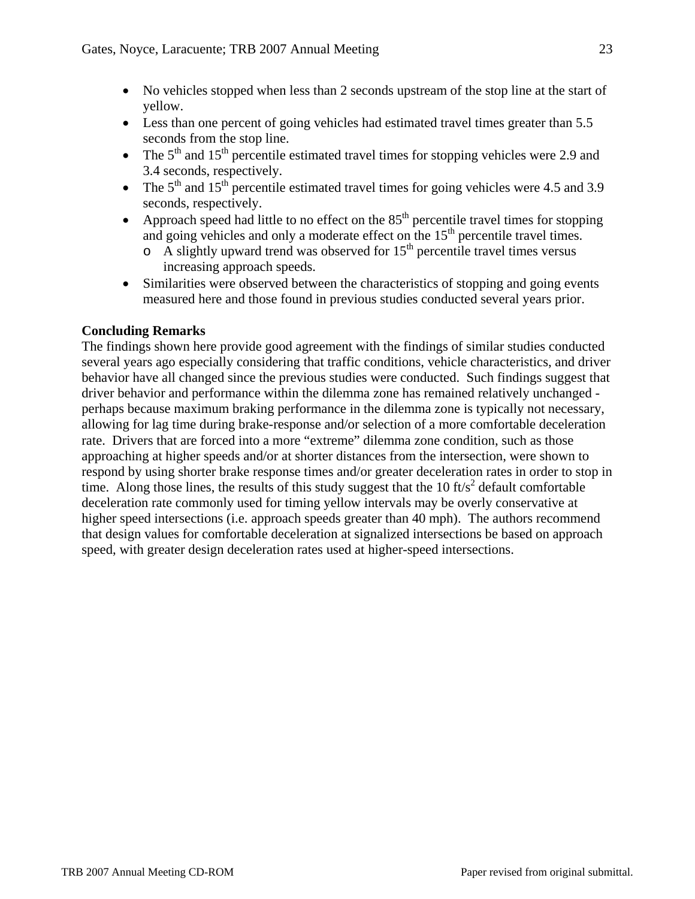- No vehicles stopped when less than 2 seconds upstream of the stop line at the start of yellow.
- Less than one percent of going vehicles had estimated travel times greater than 5.5 seconds from the stop line.
- The  $5<sup>th</sup>$  and  $15<sup>th</sup>$  percentile estimated travel times for stopping vehicles were 2.9 and 3.4 seconds, respectively.
- The  $5<sup>th</sup>$  and  $15<sup>th</sup>$  percentile estimated travel times for going vehicles were 4.5 and 3.9 seconds, respectively.
- Approach speed had little to no effect on the  $85<sup>th</sup>$  percentile travel times for stopping and going vehicles and only a moderate effect on the 15<sup>th</sup> percentile travel times.
	- $\circ$  A slightly upward trend was observed for 15<sup>th</sup> percentile travel times versus increasing approach speeds.
- Similarities were observed between the characteristics of stopping and going events measured here and those found in previous studies conducted several years prior.

# **Concluding Remarks**

The findings shown here provide good agreement with the findings of similar studies conducted several years ago especially considering that traffic conditions, vehicle characteristics, and driver behavior have all changed since the previous studies were conducted. Such findings suggest that driver behavior and performance within the dilemma zone has remained relatively unchanged perhaps because maximum braking performance in the dilemma zone is typically not necessary, allowing for lag time during brake-response and/or selection of a more comfortable deceleration rate. Drivers that are forced into a more "extreme" dilemma zone condition, such as those approaching at higher speeds and/or at shorter distances from the intersection, were shown to respond by using shorter brake response times and/or greater deceleration rates in order to stop in time. Along those lines, the results of this study suggest that the 10 ft/s<sup>2</sup> default comfortable deceleration rate commonly used for timing yellow intervals may be overly conservative at higher speed intersections (i.e. approach speeds greater than 40 mph). The authors recommend that design values for comfortable deceleration at signalized intersections be based on approach speed, with greater design deceleration rates used at higher-speed intersections.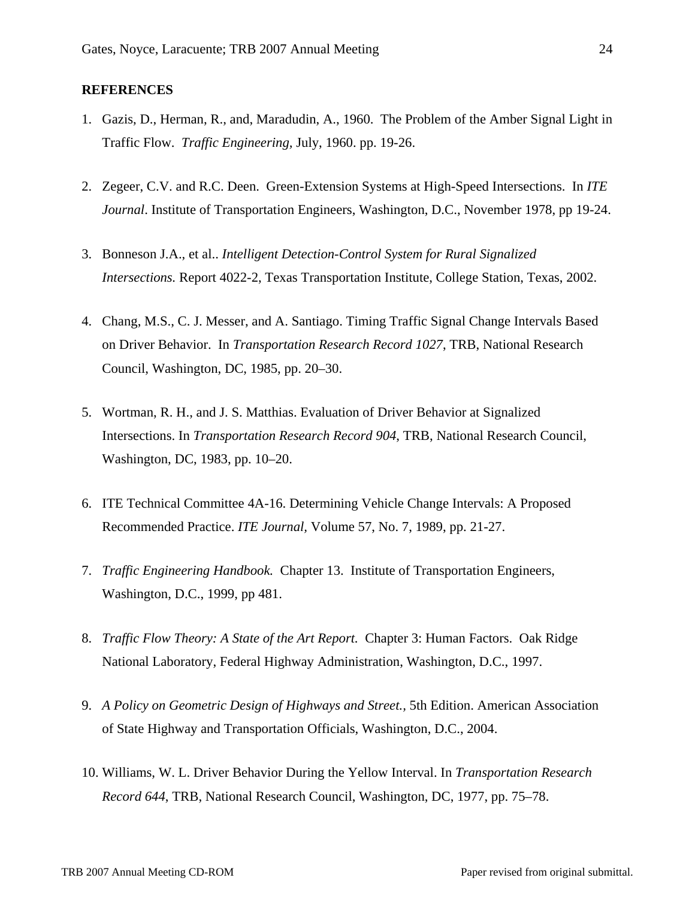### **REFERENCES**

- 1. Gazis, D., Herman, R., and, Maradudin, A., 1960. The Problem of the Amber Signal Light in Traffic Flow. *Traffic Engineering,* July, 1960. pp. 19-26.
- 2. Zegeer, C.V. and R.C. Deen. Green-Extension Systems at High-Speed Intersections. In *ITE Journal*. Institute of Transportation Engineers, Washington, D.C., November 1978, pp 19-24.
- 3. Bonneson J.A., et al.. *Intelligent Detection-Control System for Rural Signalized Intersections.* Report 4022-2, Texas Transportation Institute, College Station, Texas, 2002.
- 4. Chang, M.S., C. J. Messer, and A. Santiago. Timing Traffic Signal Change Intervals Based on Driver Behavior. In *Transportation Research Record 1027*, TRB, National Research Council, Washington, DC, 1985, pp. 20–30.
- 5. Wortman, R. H., and J. S. Matthias. Evaluation of Driver Behavior at Signalized Intersections. In *Transportation Research Record 904*, TRB, National Research Council, Washington, DC, 1983, pp. 10–20.
- 6. ITE Technical Committee 4A-16. Determining Vehicle Change Intervals: A Proposed Recommended Practice. *ITE Journal,* Volume 57, No. 7, 1989, pp. 21-27.
- 7. *Traffic Engineering Handbook.* Chapter 13. Institute of Transportation Engineers, Washington, D.C., 1999, pp 481.
- 8. *Traffic Flow Theory: A State of the Art Report.* Chapter 3: Human Factors. Oak Ridge National Laboratory, Federal Highway Administration, Washington, D.C., 1997.
- 9. *A Policy on Geometric Design of Highways and Street.,* 5th Edition. American Association of State Highway and Transportation Officials, Washington, D.C., 2004.
- 10. Williams, W. L. Driver Behavior During the Yellow Interval. In *Transportation Research Record 644*, TRB, National Research Council, Washington, DC, 1977, pp. 75–78.